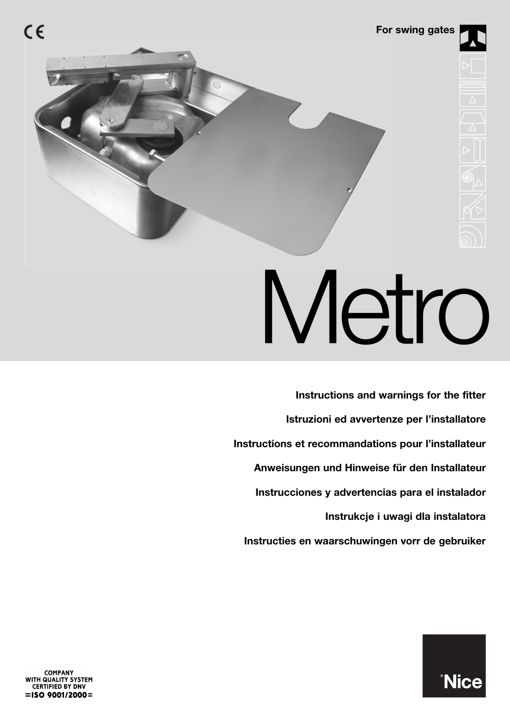

# Metro

**Instructies en waarschuwingen vorr de gebruiker Instrukcje i uwagi dla instalatora Istruzioni ed avvertenze per l'installatore Instructions and warnings for the fitter Instructions et recommandations pour l'installateur Anweisungen und Hinweise für den Installateur Instrucciones y advertencias para el instalador**

**COMPANY** WITH QUALITY SYSTEM<br>CERTIFIED BY DNV  $=$ ISO 9001/2000=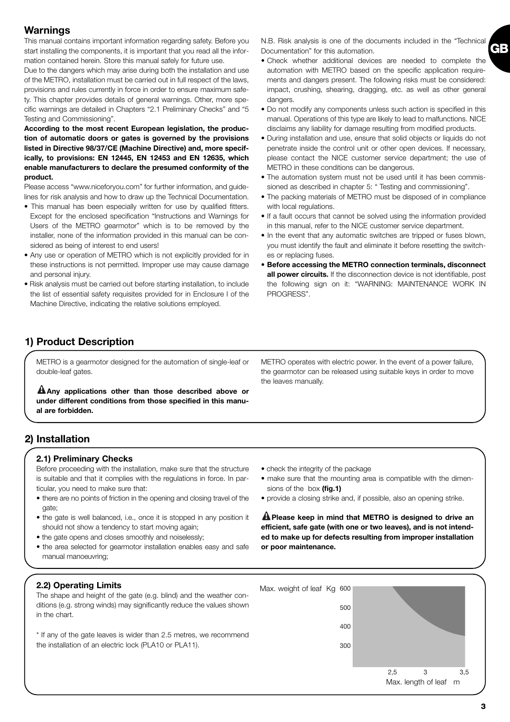## **Warnings**

This manual contains important information regarding safety. Before you start installing the components, it is important that you read all the information contained herein. Store this manual safely for future use.

Due to the dangers which may arise during both the installation and use of the METRO, installation must be carried out in full respect of the laws, provisions and rules currently in force in order to ensure maximum safety. This chapter provides details of general warnings. Other, more specific warnings are detailed in Chapters "2.1 Preliminary Checks" and "5 Testing and Commissioning".

**According to the most recent European legislation, the production of automatic doors or gates is governed by the provisions listed in Directive 98/37/CE (Machine Directive) and, more specifically, to provisions: EN 12445, EN 12453 and EN 12635, which enable manufacturers to declare the presumed conformity of the product.**

Please access "www.niceforyou.com" for further information, and guidelines for risk analysis and how to draw up the Technical Documentation.

- This manual has been especially written for use by qualified fitters. Except for the enclosed specification "Instructions and Warnings for Users of the METRO gearmotor" which is to be removed by the installer, none of the information provided in this manual can be considered as being of interest to end users!
- Any use or operation of METRO which is not explicitly provided for in these instructions is not permitted. Improper use may cause damage and personal injury.
- Risk analysis must be carried out before starting installation, to include the list of essential safety requisites provided for in Enclosure I of the Machine Directive, indicating the relative solutions employed.

N.B. Risk analysis is one of the documents included in the "Technical Documentation" for this automation.

**GB**

- Check whether additional devices are needed to complete the automation with METRO based on the specific application requirements and dangers present. The following risks must be considered: impact, crushing, shearing, dragging, etc. as well as other general dangers.
- Do not modify any components unless such action is specified in this manual. Operations of this type are likely to lead to malfunctions. NICE disclaims any liability for damage resulting from modified products.
- During installation and use, ensure that solid objects or liquids do not penetrate inside the control unit or other open devices. If necessary, please contact the NICE customer service department; the use of METRO in these conditions can be dangerous.
- The automation system must not be used until it has been commissioned as described in chapter 5: " Testing and commissioning".
- The packing materials of METRO must be disposed of in compliance with local regulations.
- If a fault occurs that cannot be solved using the information provided in this manual, refer to the NICE customer service department.
- In the event that any automatic switches are tripped or fuses blown, you must identify the fault and eliminate it before resetting the switches or replacing fuses.
- **Before accessing the METRO connection terminals, disconnect all power circuits.** If the disconnection device is not identifiable, post the following sign on it: "WARNING: MAINTENANCE WORK IN PROGRESS".

## **1) Product Description**

METRO is a gearmotor designed for the automation of single-leaf or double-leaf gates.

**Any applications other than those described above or ! under different conditions from those specified in this manual are forbidden.**

## **2) Installation**

#### **2.1) Preliminary Checks**

Before proceeding with the installation, make sure that the structure is suitable and that it complies with the regulations in force. In particular, you need to make sure that:

- there are no points of friction in the opening and closing travel of the gate:
- the gate is well balanced, i.e., once it is stopped in any position it should not show a tendency to start moving again;
- the gate opens and closes smoothly and noiselessly:
- the area selected for gearmotor installation enables easy and safe manual manoeuvring;
- check the integrity of the package
- make sure that the mounting area is compatible with the dimensions of the box **(fig.1)**
- provide a closing strike and, if possible, also an opening strike.

**Please keep in mind that METRO is designed to drive an ! efficient, safe gate (with one or two leaves), and is not intended to make up for defects resulting from improper installation or poor maintenance.**

#### **2.2) Operating Limits**

The shape and height of the gate (e.g. blind) and the weather conditions (e.g. strong winds) may significantly reduce the values shown in the chart.

\* If any of the gate leaves is wider than 2.5 metres, we recommend the installation of an electric lock (PLA10 or PLA11).



METRO operates with electric power. In the event of a power failure, the gearmotor can be released using suitable keys in order to move the leaves manually.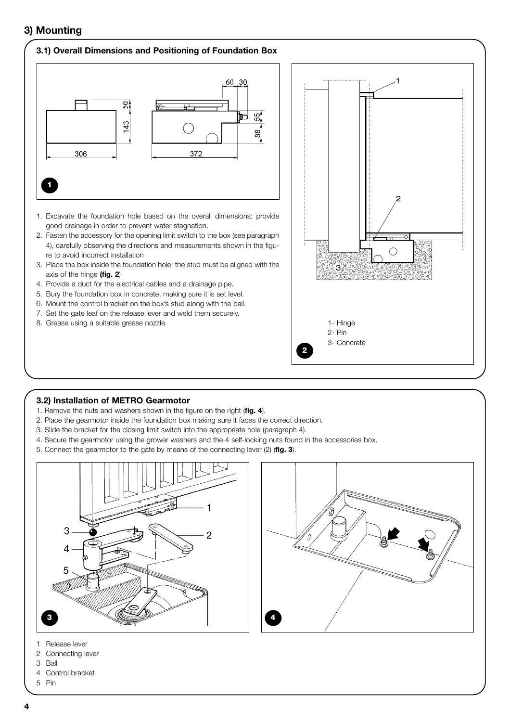## **3) Mounting**

#### **3.1) Overall Dimensions and Positioning of Foundation Box**



- 1. Excavate the foundation hole based on the overall dimensions; provide good drainage in order to prevent water stagnation.
- 2. Fasten the accessory for the opening limit switch to the box (see paragraph 4), carefully observing the directions and measurements shown in the figure to avoid incorrect installation
- 3. Place the box inside the foundation hole; the stud must be aligned with the axis of the hinge **(fig. 2**)
- 4. Provide a duct for the electrical cables and a drainage pipe.
- 5. Bury the foundation box in concrete, making sure it is set level.
- 6. Mount the control bracket on the box's stud along with the ball.
- 7. Set the gate leaf on the release lever and weld them securely.
- 8. Grease using a suitable grease nozzle. 1- Hinge and the state of the state of the state of the Hinge



#### **3.2) Installation of METRO Gearmotor**

- 1. Remove the nuts and washers shown in the figure on the right (**fig. 4**).
- 2. Place the gearmotor inside the foundation box making sure it faces the correct direction.
- 3. Slide the bracket for the closing limit switch into the appropriate hole (paragraph 4).
- 4. Secure the gearmotor using the grower washers and the 4 self-locking nuts found in the accessories box.
- 5. Connect the gearmotor to the gate by means of the connecting lever (2) (**fig. 3**).





- 1 Release lever
- 2 Connecting lever
- 3 Ball
- 4 Control bracket
- 5 Pin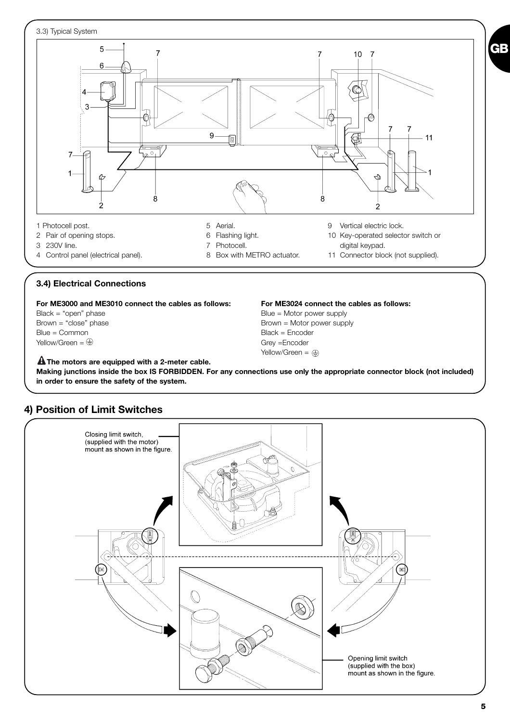

**For ME3000 and ME3010 connect the cables as follows: For ME3024 connect the cables as follows:**

Blue = Common Black = Encoder  $Yellow/Green =  $\bigoplus$  \n $\bigoplus$  \n $\bigoplus$  \n $\bigoplus$  \n $\bigoplus$  \n $\bigoplus$  \n $\bigoplus$  \n $\bigoplus$  \n $\bigoplus$  \n $\bigoplus$  \n $\bigoplus$  \n $\bigoplus$  \n $\bigoplus$  \n $\bigoplus$  \n $\bigoplus$  \n $\bigoplus$  \n $\bigoplus$  \n $\bigoplus$$ 

Black = "open" phase Blue = Motor power supply Brown = "close" phase Brown = Motor power supply Yellow/Green =  $\oplus$ 

**The motors are equipped with a 2-meter cable. ! Making junctions inside the box IS FORBIDDEN. For any connections use only the appropriate connector block (not included) in order to ensure the safety of the system.**



## **4) Position of Limit Switches**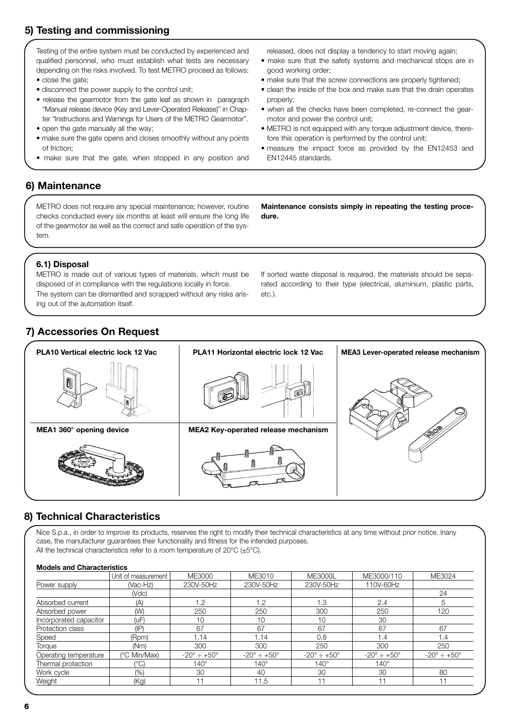## **5) Testing and commissioning**

Testing of the entire system must be conducted by experienced and qualified personnel, who must establish what tests are necessary depending on the risks involved. To test METRO proceed as follows:

- close the gate;
- disconnect the power supply to the control unit;
- release the gearmotor from the gate leaf as shown in paragraph "Manual release device (Key and Lever-Operated Release)" in Chapter "Instructions and Warnings for Users of the METRO Gearmotor".
- open the gate manually all the way;
- make sure the gate opens and closes smoothly without any points of friction;
- make sure that the gate, when stopped in any position and

released, does not display a tendency to start moving again;

- make sure that the safety systems and mechanical stops are in good working order;
- make sure that the screw connections are properly tightened;
- clean the inside of the box and make sure that the drain operates properly;
- when all the checks have been completed, re-connect the gearmotor and power the control unit;
- METRO is not equipped with any torque adjustment device, therefore this operation is performed by the control unit;
- measure the impact force as provided by the EN12453 and EN12445 standards.

## **6) Maintenance**

METRO does not require any special maintenance; however, routine checks conducted every six months at least will ensure the long life of the gearmotor as well as the correct and safe operation of the system.

**Maintenance consists simply in repeating the testing procedure.**

#### **6.1) Disposal**

METRO is made out of various types of materials, which must be disposed of in compliance with the regulations locally in force. The system can be dismantled and scrapped without any risks arising out of the automation itself.

If sorted waste disposal is required, the materials should be separated according to their type (electrical, aluminium, plastic parts, etc.).

## **7) Accessories On Request**



## **8) Technical Characteristics**

Nice S.p.a., in order to improve its products, reserves the right to modify their technical characteristics at any time without prior notice. Inany case, the manufacturer guarantees their functionality and fitness for the intended purposes. All the technical characteristics refer to a room temperature of 20°C (±5°C).

#### **Models and Characteristics**

| Unit of measurement | ME3000                         | ME3010                         | ME3000L                        | ME3000/110                     | ME3024                         |
|---------------------|--------------------------------|--------------------------------|--------------------------------|--------------------------------|--------------------------------|
| (Vac-Hz)            | 230V-50Hz                      | 230V-50Hz                      | 230V-50Hz                      | 110V-60Hz                      |                                |
| (Vdc)               |                                |                                |                                |                                | 24                             |
| (A)                 | 1.2                            | 1.2                            | 1.3                            | 2.4                            | 5                              |
| (W)                 | 250                            | 250                            | 300                            | 250                            | 120                            |
| (uF)                | 10                             | 10                             | 10                             | 30                             |                                |
| $(\mathsf{IP})$     | 67                             | 67                             | 67                             | 67                             | 67                             |
| (Rpm)               | 1.14                           | 1.14                           | 0.8                            | 1.4                            | 1.4                            |
| (Nm)                | 300                            | 300                            | 250                            | 300                            | 250                            |
| (°C Min/Max)        | $-20^{\circ} \div +50^{\circ}$ | $-20^{\circ} \div +50^{\circ}$ | $-20^{\circ} \div 150^{\circ}$ | $-20^{\circ} \div 150^{\circ}$ | $-20^{\circ} \div 150^{\circ}$ |
| ′°C)                | $140^\circ$                    | $140^\circ$                    | $140^\circ$                    | $140^\circ$                    |                                |
| $(\% )$             | 30                             | 40                             | 30                             | 30                             | 80                             |
| (Kg)                | 11                             | 11.5                           | -11                            |                                | 11                             |
|                     |                                |                                |                                |                                |                                |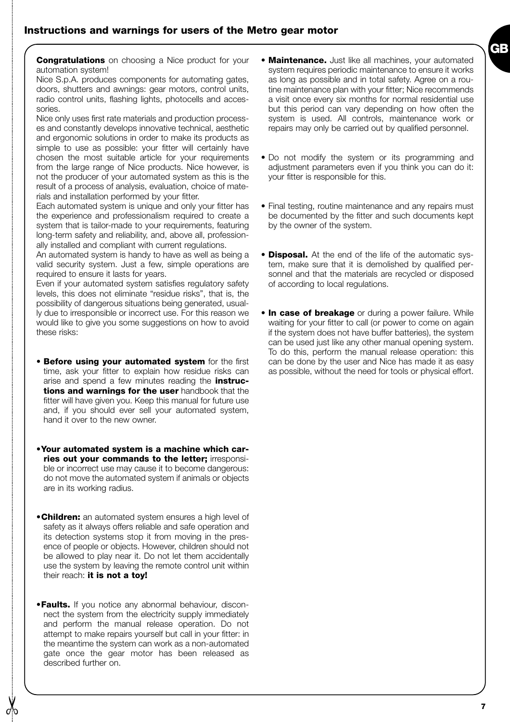

**Congratulations** on choosing a Nice product for your automation system!

Nice S.p.A. produces components for automating gates, doors, shutters and awnings: gear motors, control units, radio control units, flashing lights, photocells and accessories.

Nice only uses first rate materials and production processes and constantly develops innovative technical, aesthetic and ergonomic solutions in order to make its products as simple to use as possible: your fitter will certainly have chosen the most suitable article for your requirements from the large range of Nice products. Nice however, is not the producer of your automated system as this is the result of a process of analysis, evaluation, choice of materials and installation performed by your fitter.

Each automated system is unique and only your fitter has the experience and professionalism required to create a system that is tailor-made to your requirements, featuring long-term safety and reliability, and, above all, professionally installed and compliant with current regulations.

An automated system is handy to have as well as being a valid security system. Just a few, simple operations are required to ensure it lasts for years.

Even if your automated system satisfies regulatory safety levels, this does not eliminate "residue risks", that is, the possibility of dangerous situations being generated, usually due to irresponsible or incorrect use. For this reason we would like to give you some suggestions on how to avoid these risks:

- **Before using your automated system** for the first time, ask your fitter to explain how residue risks can arise and spend a few minutes reading the **instructions and warnings for the user** handbook that the fitter will have given you. Keep this manual for future use and, if you should ever sell your automated system, hand it over to the new owner.
- •**Your automated system is a machine which carries out your commands to the letter;** irresponsible or incorrect use may cause it to become dangerous: do not move the automated system if animals or objects are in its working radius.
- •**Children:** an automated system ensures a high level of safety as it always offers reliable and safe operation and its detection systems stop it from moving in the presence of people or objects. However, children should not be allowed to play near it. Do not let them accidentally use the system by leaving the remote control unit within their reach: **it is not a toy!**
- •**Faults.** If you notice any abnormal behaviour, disconnect the system from the electricity supply immediately and perform the manual release operation. Do not attempt to make repairs yourself but call in your fitter: in the meantime the system can work as a non-automated gate once the gear motor has been released as described further on.
- **Maintenance.** Just like all machines, your automated system requires periodic maintenance to ensure it works as long as possible and in total safety. Agree on a routine maintenance plan with your fitter; Nice recommends a visit once every six months for normal residential use but this period can vary depending on how often the system is used. All controls, maintenance work or repairs may only be carried out by qualified personnel.
- Do not modify the system or its programming and adjustment parameters even if you think you can do it: your fitter is responsible for this.
- Final testing, routine maintenance and any repairs must be documented by the fitter and such documents kept by the owner of the system.
- **Disposal.** At the end of the life of the automatic system, make sure that it is demolished by qualified personnel and that the materials are recycled or disposed of according to local regulations.
- **In case of breakage** or during a power failure. While waiting for your fitter to call (or power to come on again if the system does not have buffer batteries), the system can be used just like any other manual opening system. To do this, perform the manual release operation: this can be done by the user and Nice has made it as easy as possible, without the need for tools or physical effort.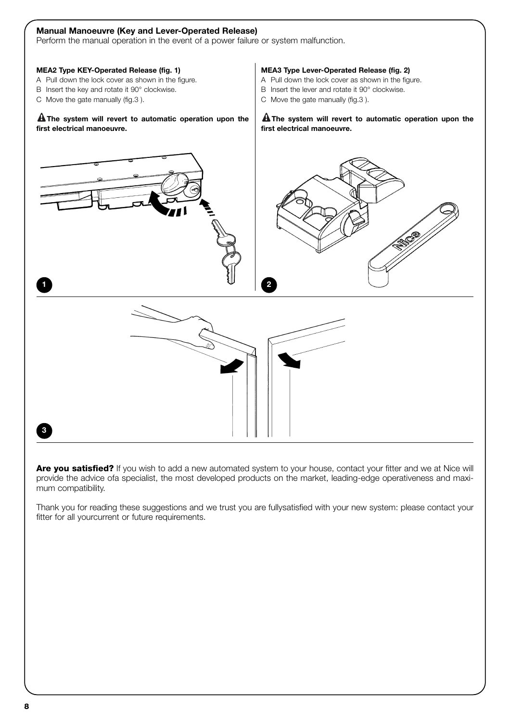

Are you satisfied? If you wish to add a new automated system to your house, contact your fitter and we at Nice will provide the advice ofa specialist, the most developed products on the market, leading-edge operativeness and maximum compatibility.

Thank you for reading these suggestions and we trust you are fullysatisfied with your new system: please contact your fitter for all yourcurrent or future requirements.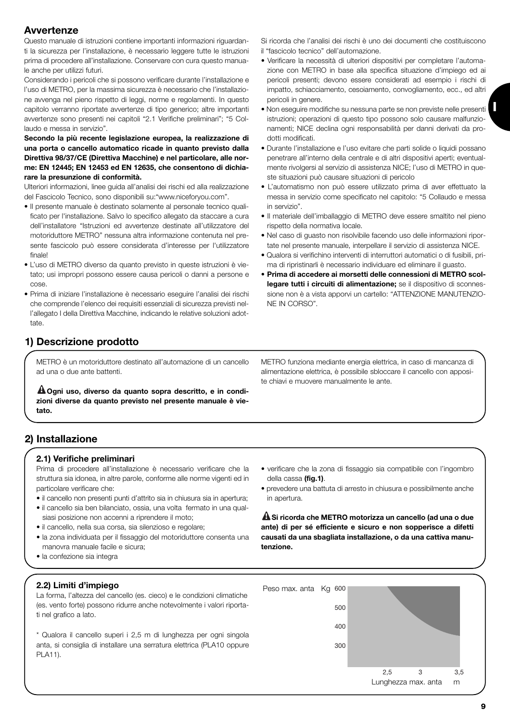## **Avvertenze**

Questo manuale di istruzioni contiene importanti informazioni riguardanti la sicurezza per l'installazione, è necessario leggere tutte le istruzioni prima di procedere all'installazione. Conservare con cura questo manuale anche per utilizzi futuri.

Considerando i pericoli che si possono verificare durante l'installazione e l'uso di METRO, per la massima sicurezza è necessario che l'installazione avvenga nel pieno rispetto di leggi, norme e regolamenti. In questo capitolo verranno riportate avvertenze di tipo generico; altre importanti avvertenze sono presenti nei capitoli "2.1 Verifiche preliminari"; "5 Collaudo e messa in servizio".

#### **Secondo la più recente legislazione europea, la realizzazione di una porta o cancello automatico ricade in quanto previsto dalla Direttiva 98/37/CE (Direttiva Macchine) e nel particolare, alle norme: EN 12445; EN 12453 ed EN 12635, che consentono di dichiarare la presunzione di conformità.**

Ulteriori informazioni, linee guida all'analisi dei rischi ed alla realizzazione del Fascicolo Tecnico, sono disponibili su:"www.niceforyou.com".

- Il presente manuale è destinato solamente al personale tecnico qualificato per l'installazione. Salvo lo specifico allegato da staccare a cura dell'installatore "Istruzioni ed avvertenze destinate all'utilizzatore del motoriduttore METRO" nessuna altra informazione contenuta nel presente fascicolo può essere considerata d'interesse per l'utilizzatore finale!
- L'uso di METRO diverso da quanto previsto in queste istruzioni è vietato; usi impropri possono essere causa pericoli o danni a persone e cose.
- Prima di iniziare l'installazione è necessario eseguire l'analisi dei rischi che comprende l'elenco dei requisiti essenziali di sicurezza previsti nell'allegato I della Direttiva Macchine, indicando le relative soluzioni adottate.
- **1) Descrizione prodotto**

METRO è un motoriduttore destinato all'automazione di un cancello ad una o due ante battenti.

**Ogni uso, diverso da quanto sopra descritto, e in condi-! zioni diverse da quanto previsto nel presente manuale è vietato.**

- Si ricorda che l'analisi dei rischi è uno dei documenti che costituiscono
- il "fascicolo tecnico" dell'automazione.
- Verificare la necessità di ulteriori dispositivi per completare l'automazione con METRO in base alla specifica situazione d'impiego ed ai pericoli presenti; devono essere considerati ad esempio i rischi di impatto, schiacciamento, cesoiamento, convogliamento, ecc., ed altri pericoli in genere.
- **Non eseguire modifiche su nessuna parte se non previste nelle presenti** istruzioni; operazioni di questo tipo possono solo causare malfunzionamenti; NICE declina ogni responsabilità per danni derivati da prodotti modificati.
- Durante l'installazione e l'uso evitare che parti solide o liquidi possano penetrare all'interno della centrale e di altri dispositivi aperti; eventualmente rivolgersi al servizio di assistenza NICE; l'uso di METRO in queste situazioni può causare situazioni di pericolo
- L'automatismo non può essere utilizzato prima di aver effettuato la messa in servizio come specificato nel capitolo: "5 Collaudo e messa in servizio".
- Il materiale dell'imballaggio di METRO deve essere smaltito nel pieno rispetto della normativa locale.
- Nel caso di guasto non risolvibile facendo uso delle informazioni riportate nel presente manuale, interpellare il servizio di assistenza NICE.
- Qualora si verifichino interventi di interruttori automatici o di fusibili, prima di ripristinarli è necessario individuare ed eliminare il guasto.
- **Prima di accedere ai morsetti delle connessioni di METRO scollegare tutti i circuiti di alimentazione;** se il dispositivo di sconnessione non è a vista apporvi un cartello: "ATTENZIONE MANUTENZIO-NE IN CORSO".

METRO funziona mediante energia elettrica, in caso di mancanza di alimentazione elettrica, è possibile sbloccare il cancello con apposite chiavi e muovere manualmente le ante.

## **2) Installazione**

#### **2.1) Verifiche preliminari**

Prima di procedere all'installazione è necessario verificare che la struttura sia idonea, in altre parole, conforme alle norme vigenti ed in particolare verificare che:

- il cancello non presenti punti d'attrito sia in chiusura sia in apertura;
- il cancello sia ben bilanciato, ossia, una volta fermato in una qualsiasi posizione non accenni a riprendere il moto;
- il cancello, nella sua corsa, sia silenzioso e regolare;
- la zona individuata per il fissaggio del motoriduttore consenta una manovra manuale facile e sicura;
- la confezione sia integra

#### **2.2) Limiti d'impiego**

La forma, l'altezza del cancello (es. cieco) e le condizioni climatiche (es. vento forte) possono ridurre anche notevolmente i valori riportati nel grafico a lato.

\* Qualora il cancello superi i 2,5 m di lunghezza per ogni singola anta, si consiglia di installare una serratura elettrica (PLA10 oppure PLA11).

- verificare che la zona di fissaggio sia compatibile con l'ingombro della cassa **(fig.1)**.
- prevedere una battuta di arresto in chiusura e possibilmente anche in apertura.

**Si ricorda che METRO motorizza un cancello (ad una o due ! ante) di per sé efficiente e sicuro e non sopperisce a difetti causati da una sbagliata installazione, o da una cattiva manutenzione.**

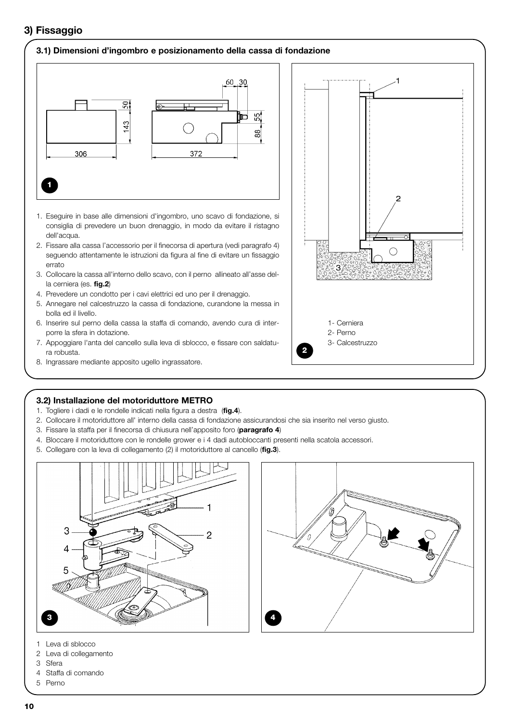## **3) Fissaggio**

#### **3.1) Dimensioni d'ingombro e posizionamento della cassa di fondazione**



- 1. Eseguire in base alle dimensioni d'ingombro, uno scavo di fondazione, si consiglia di prevedere un buon drenaggio, in modo da evitare il ristagno dell'acqua.
- 2. Fissare alla cassa l'accessorio per il finecorsa di apertura (vedi paragrafo 4) seguendo attentamente le istruzioni da figura al fine di evitare un fissaggio errato
- 3. Collocare la cassa all'interno dello scavo, con il perno allineato all'asse della cerniera (es. **fig.2**)
- 4. Prevedere un condotto per i cavi elettrici ed uno per il drenaggio.
- 5. Annegare nel calcestruzzo la cassa di fondazione, curandone la messa in bolla ed il livello.
- 6. Inserire sul perno della cassa la staffa di comando, avendo cura di interporre la sfera in dotazione.
- 7. Appoggiare l'anta del cancello sulla leva di sblocco, e fissare con saldatura robusta.
- 8. Ingrassare mediante apposito ugello ingrassatore.



## **3.2) Installazione del motoriduttore METRO**

- 1. Togliere i dadi e le rondelle indicati nella figura a destra (**fig.4**).
- 2. Collocare il motoriduttore all' interno della cassa di fondazione assicurandosi che sia inserito nel verso giusto.
- 3. Fissare la staffa per il finecorsa di chiusura nell'apposito foro (**paragrafo 4**)
- 4. Bloccare il motoriduttore con le rondelle grower e i 4 dadi autobloccanti presenti nella scatola accessori.
- 5. Collegare con la leva di collegamento (2) il motoriduttore al cancello (**fig.3**).





- 1 Leva di sblocco
- 2 Leva di collegamento
- 3 Sfera
- 4 Staffa di comando
- 5 Perno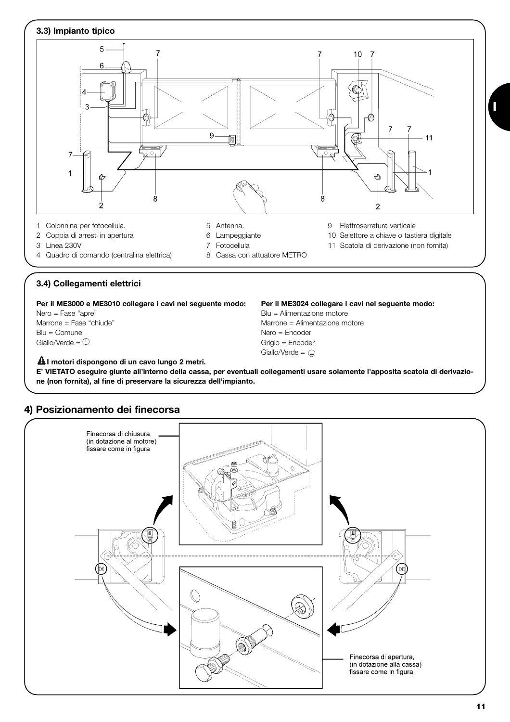

## **3.4) Collegamenti elettrici**

**Per il ME3000 e ME3010 collegare i cavi nel seguente modo: Per il ME3024 collegare i cavi nel seguente modo:**

 $Blu = Comune$   $Nero = Encoder$ <br>
Giallo/Verde =  $\bigoplus$ 

**I motori dispongono di un cavo lungo 2 metri. !**

Nero = Fase "apre" entity in the settlement of the Blu = Alimentazione motore Marrone = Fase "chiude" Marrone = Alimentazione motore Grigio = Encoder Giallo/Verde =  $\oplus$ 

**E' VIETATO eseguire giunte all'interno della cassa, per eventuali collegamenti usare solamente l'apposita scatola di derivazione (non fornita), al fine di preservare la sicurezza dell'impianto.**



## **4) Posizionamento dei finecorsa**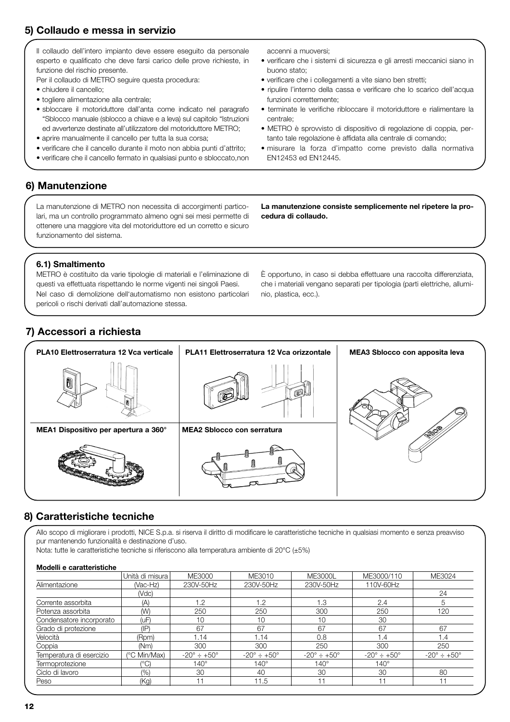## **5) Collaudo e messa in servizio**

Il collaudo dell'intero impianto deve essere eseguito da personale esperto e qualificato che deve farsi carico delle prove richieste, in funzione del rischio presente.

Per il collaudo di METRO seguire questa procedura:

- chiudere il cancello;
- togliere alimentazione alla centrale;
- sbloccare il motoriduttore dall'anta come indicato nel paragrafo "Sblocco manuale (sblocco a chiave e a leva) sul capitolo "Istruzioni ed avvertenze destinate all'utilizzatore del motoriduttore METRO;
- aprire manualmente il cancello per tutta la sua corsa;
- verificare che il cancello durante il moto non abbia punti d'attrito;
- verificare che il cancello fermato in qualsiasi punto e sbloccato,non

accenni a muoversi;

- verificare che i sistemi di sicurezza e gli arresti meccanici siano in buono stato;
- verificare che i collegamenti a vite siano ben stretti;
- ripulire l'interno della cassa e verificare che lo scarico dell'acqua funzioni correttemente;
- terminate le verifiche ribloccare il motoriduttore e rialimentare la centrale;
- METRO è sprovvisto di dispositivo di regolazione di coppia, pertanto tale regolazione è affidata alla centrale di comando;
- misurare la forza d'impatto come previsto dalla normativa EN12453 ed EN12445.

## **6) Manutenzione**

La manutenzione di METRO non necessita di accorgimenti particolari, ma un controllo programmato almeno ogni sei mesi permette di ottenere una maggiore vita del motoriduttore ed un corretto e sicuro funzionamento del sistema.

**La manutenzione consiste semplicemente nel ripetere la procedura di collaudo.**

## **6.1) Smaltimento**

METRO è costituito da varie tipologie di materiali e l'eliminazione di questi va effettuata rispettando le norme vigenti nei singoli Paesi. Nel caso di demolizione dell'automatismo non esistono particolari pericoli o rischi derivati dall'automazione stessa.

È opportuno, in caso si debba effettuare una raccolta differenziata, che i materiali vengano separati per tipologia (parti elettriche, alluminio, plastica, ecc.).

## **7) Accessori a richiesta**



## **8) Caratteristiche tecniche**

Allo scopo di migliorare i prodotti, NICE S.p.a. si riserva il diritto di modificare le caratteristiche tecniche in qualsiasi momento e senza preavviso pur mantenendo funzionalità e destinazione d'uso.

Nota: tutte le caratteristiche tecniche si riferiscono alla temperatura ambiente di 20°C (±5%)

#### **Modelli e caratteristiche**

|                          | Unità di misura | ME3000                         | ME3010                         | <b>ME3000L</b>                 | ME3000/110                     | ME3024                         |
|--------------------------|-----------------|--------------------------------|--------------------------------|--------------------------------|--------------------------------|--------------------------------|
| Alimentazione            | (Vac-Hz)        | 230V-50Hz                      | 230V-50Hz                      | 230V-50Hz                      | 110V-60Hz                      |                                |
|                          | (Vdc)           |                                |                                |                                |                                | 24                             |
| Corrente assorbita       | (A)             | 1.2                            | 1.2                            | 1.3                            | 2.4                            | 5                              |
| Potenza assorbita        | (W)             | 250                            | 250                            | 300                            | 250                            | 120                            |
| Condensatore incorporato | (uF)            | 10                             | 10                             | 10                             | 30                             |                                |
| Grado di protezione      | $(\mathsf{IP})$ | 67                             | 67                             | 67                             | 67                             | 67                             |
| Velocità                 | (Rpm)           | 1.14                           | 1.14                           | 0.8                            | 1.4                            | 1.4                            |
| Coppia                   | (Nm)            | 300                            | 300                            | 250                            | 300                            | 250                            |
| Temperatura di esercizio | (°C Min/Max)    | $-20^{\circ} \div +50^{\circ}$ | $-20^{\circ} \div 150^{\circ}$ | $-20^{\circ} \div 150^{\circ}$ | $-20^{\circ} \div 150^{\circ}$ | $-20^{\circ} \div +50^{\circ}$ |
| Termoprotezione          | $(^{\circ}C)$   | $140^\circ$                    | $140^\circ$                    | $140^\circ$                    | $140^\circ$                    |                                |
| Ciclo di lavoro          | (%)             | 30                             | 40                             | 30                             | 30                             | 80                             |
| Peso                     | (Kq)            | 11                             | 11.5                           | 11                             |                                |                                |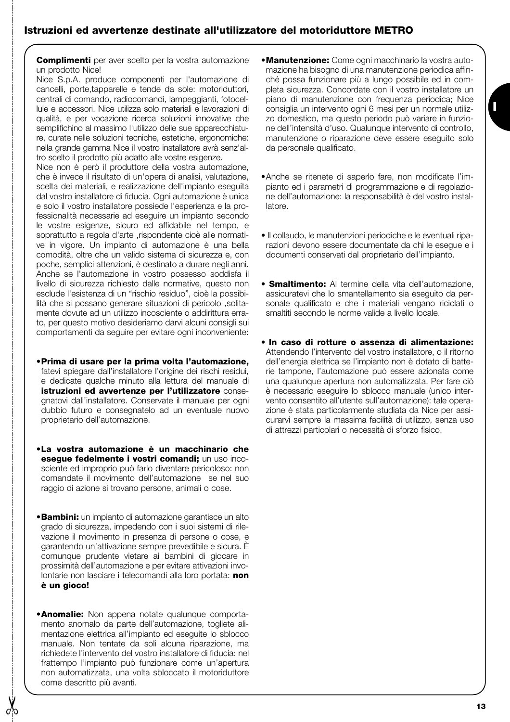**Complimenti** per aver scelto per la vostra automazione un prodotto Nice!

Nice S.p.A. produce componenti per l'automazione di cancelli, porte,tapparelle e tende da sole: motoriduttori, centrali di comando, radiocomandi, lampeggianti, fotocellule e accessori. Nice utilizza solo materiali e lavorazioni di qualità, e per vocazione ricerca soluzioni innovative che semplifichino al massimo l'utilizzo delle sue apparecchiature, curate nelle soluzioni tecniche, estetiche, ergonomiche: nella grande gamma Nice il vostro installatore avrà senz'altro scelto il prodotto più adatto alle vostre esigenze.

Nice non è però il produttore della vostra automazione, che è invece il risultato di un'opera di analisi, valutazione, scelta dei materiali, e realizzazione dell'impianto eseguita dal vostro installatore di fiducia. Ogni automazione è unica e solo il vostro installatore possiede l'esperienza e la professionalità necessarie ad eseguire un impianto secondo le vostre esigenze, sicuro ed affidabile nel tempo, e soprattutto a regola d'arte ,rispondente cioè alle normative in vigore. Un impianto di automazione è una bella comodità, oltre che un valido sistema di sicurezza e, con poche, semplici attenzioni, è destinato a durare negli anni. Anche se l'automazione in vostro possesso soddisfa il livello di sicurezza richiesto dalle normative, questo non esclude l'esistenza di un "rischio residuo", cioè la possibilità che si possano generare situazioni di pericolo ,solitamente dovute ad un utilizzo incosciente o addirittura errato, per questo motivo desideriamo darvi alcuni consigli sui comportamenti da seguire per evitare ogni inconveniente:

- •**Prima di usare per la prima volta l'automazione,** fatevi spiegare dall'installatore l'origine dei rischi residui, e dedicate qualche minuto alla lettura del manuale di **istruzioni ed avvertenze per l'utilizzatore** consegnatovi dall'installatore. Conservate il manuale per ogni dubbio futuro e consegnatelo ad un eventuale nuovo proprietario dell'automazione.
- •**La vostra automazione è un macchinario che esegue fedelmente i vostri comandi;** un uso incosciente ed improprio può farlo diventare pericoloso: non comandate il movimento dell'automazione se nel suo raggio di azione si trovano persone, animali o cose.
- •**Bambini:** un impianto di automazione garantisce un alto grado di sicurezza, impedendo con i suoi sistemi di rilevazione il movimento in presenza di persone o cose, e garantendo un'attivazione sempre prevedibile e sicura. È comunque prudente vietare ai bambini di giocare in prossimità dell'automazione e per evitare attivazioni involontarie non lasciare i telecomandi alla loro portata: **non è un gioco!**
- •**Anomalie:** Non appena notate qualunque comportamento anomalo da parte dell'automazione, togliete alimentazione elettrica all'impianto ed eseguite lo sblocco manuale. Non tentate da soli alcuna riparazione, ma richiedete l'intervento del vostro installatore di fiducia: nel frattempo l'impianto può funzionare come un'apertura non automatizzata, una volta sbloccato il motoriduttore come descritto più avanti.

•**Manutenzione:** Come ogni macchinario la vostra automazione ha bisogno di una manutenzione periodica affinché possa funzionare più a lungo possibile ed in completa sicurezza. Concordate con il vostro installatore un piano di manutenzione con frequenza periodica; Nice consiglia un intervento ogni 6 mesi per un normale utilizzo domestico, ma questo periodo può variare in funzione dell'intensità d'uso. Qualunque intervento di controllo, manutenzione o riparazione deve essere eseguito solo da personale qualificato.

**I**

- •Anche se ritenete di saperlo fare, non modificate l'impianto ed i parametri di programmazione e di regolazione dell'automazione: la responsabilità è del vostro installatore.
- Il collaudo, le manutenzioni periodiche e le eventuali riparazioni devono essere documentate da chi le esegue e i documenti conservati dal proprietario dell'impianto.
- **Smaltimento:** Al termine della vita dell'automazione, assicuratevi che lo smantellamento sia eseguito da personale qualificato e che i materiali vengano riciclati o smaltiti secondo le norme valide a livello locale.
- **In caso di rotture o assenza di alimentazione:** Attendendo l'intervento del vostro installatore, o il ritorno dell'energia elettrica se l'impianto non è dotato di batterie tampone, l'automazione può essere azionata come una qualunque apertura non automatizzata. Per fare ciò è necessario eseguire lo sblocco manuale (unico intervento consentito all'utente sull'automazione): tale operazione è stata particolarmente studiata da Nice per assicurarvi sempre la massima facilità di utilizzo, senza uso di attrezzi particolari o necessità di sforzo fisico.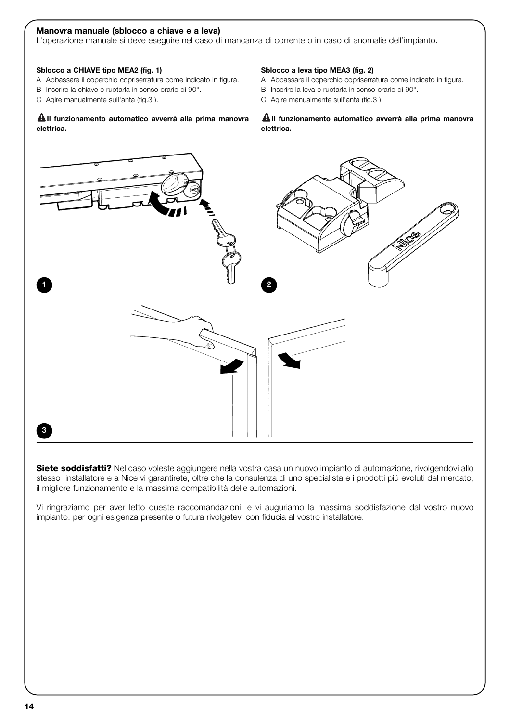#### **Manovra manuale (sblocco a chiave e a leva)**

L'operazione manuale si deve eseguire nel caso di mancanza di corrente o in caso di anomalie dell'impianto.

#### **Sblocco a CHIAVE tipo MEA2 (fig. 1)**

- A Abbassare il coperchio copriserratura come indicato in figura.
- B Inserire la chiave e ruotarla in senso orario di 90°.
- C Agire manualmente sulI'anta (fig.3 ).

#### **Il funzionamento automatico avverrà alla prima manovra ! elettrica.**

#### **Sblocco a leva tipo MEA3 (fig. 2)**

- A Abbassare il coperchio copriserratura come indicato in figura.
- B Inserire la leva e ruotarla in senso orario di 90°.
- C Agire manualmente sull'anta (fig.3).

#### **Il funzionamento automatico avverrà alla prima manovra ! elettrica.**



**Siete soddisfatti?** Nel caso voleste aggiungere nella vostra casa un nuovo impianto di automazione, rivolgendovi allo stesso installatore e a Nice vi garantirete, oltre che la consulenza di uno specialista e i prodotti più evoluti del mercato, il migliore funzionamento e la massima compatibilità delle automazioni.

Vi ringraziamo per aver letto queste raccomandazioni, e vi auguriamo la massima soddisfazione dal vostro nuovo impianto: per ogni esigenza presente o futura rivolgetevi con fiducia al vostro installatore.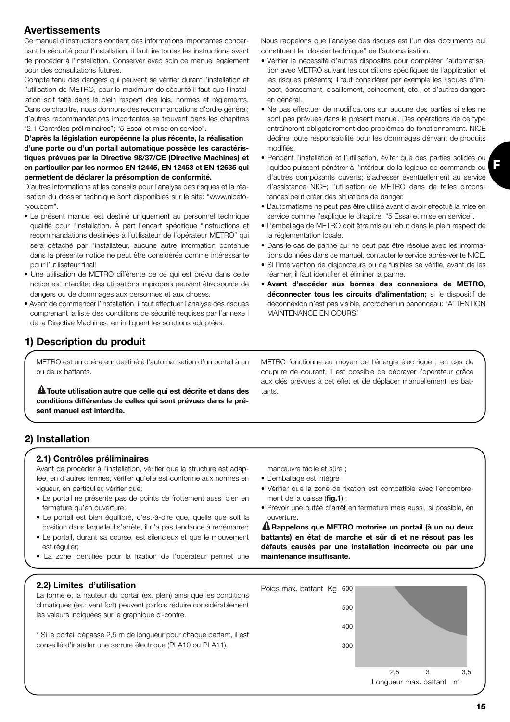## **Avertissements**

Ce manuel d'instructions contient des informations importantes concernant la sécurité pour l'installation, il faut lire toutes les instructions avant de procéder à l'installation. Conserver avec soin ce manuel également pour des consultations futures.

Compte tenu des dangers qui peuvent se vérifier durant l'installation et l'utilisation de METRO, pour le maximum de sécurité il faut que l'installation soit faite dans le plein respect des lois, normes et règlements. Dans ce chapitre, nous donnons des recommandations d'ordre général; d'autres recommandations importantes se trouvent dans les chapitres "2.1 Contrôles préliminaires"; "5 Essai et mise en service".

#### **D'après la législation européenne la plus récente, la réalisation d'une porte ou d'un portail automatique possède les caractéristiques prévues par la Directive 98/37/CE (Directive Machines) et en particulier par les normes EN 12445, EN 12453 et EN 12635 qui permettent de déclarer la présomption de conformité.**

D'autres informations et les conseils pour l'analyse des risques et la réalisation du dossier technique sont disponibles sur le site: "www.niceforyou.com".

- Le présent manuel est destiné uniquement au personnel technique qualifié pour l'installation. À part l'encart spécifique "Instructions et recommandations destinées à l'utilisateur de l'opérateur METRO" qui sera détaché par l'installateur, aucune autre information contenue dans la présente notice ne peut être considérée comme intéressante pour l'utilisateur final!
- Une utilisation de METRO différente de ce qui est prévu dans cette notice est interdite; des utilisations impropres peuvent être source de dangers ou de dommages aux personnes et aux choses.
- Avant de commencer l'installation, il faut effectuer l'analyse des risques comprenant la liste des conditions de sécurité requises par l'annexe I de la Directive Machines, en indiquant les solutions adoptées.

## **1) Description du produit**

METRO est un opérateur destiné à l'automatisation d'un portail à un ou deux battants.

**A** Toute utilisation autre que celle qui est décrite et dans des leants. **conditions différentes de celles qui sont prévues dans le présent manuel est interdite.**

Nous rappelons que l'analyse des risques est l'un des documents qui constituent le "dossier technique" de l'automatisation.

- Vérifier la nécessité d'autres dispositifs pour compléter l'automatisation avec METRO suivant les conditions spécifiques de l'application et les risques présents; il faut considérer par exemple les risques d'impact, écrasement, cisaillement, coincement, etc., et d'autres dangers en général.
- Ne pas effectuer de modifications sur aucune des parties si elles ne sont pas prévues dans le présent manuel. Des opérations de ce type entraîneront obligatoirement des problèmes de fonctionnement. NICE décline toute responsabilité pour les dommages dérivant de produits modifiés.
- Pendant l'installation et l'utilisation, éviter que des parties solides ou liquides puissent pénétrer à l'intérieur de la logique de commande ou d'autres composants ouverts; s'adresser éventuellement au service d'assistance NICE; l'utilisation de METRO dans de telles circonstances peut créer des situations de danger.
- L'automatisme ne peut pas être utilisé avant d'avoir effectué la mise en service comme l'explique le chapitre: "5 Essai et mise en service".
- L'emballage de METRO doit être mis au rebut dans le plein respect de la réglementation locale.
- Dans le cas de panne qui ne peut pas être résolue avec les informations données dans ce manuel, contacter le service après-vente NICE.
- Si l'intervention de disjoncteurs ou de fusibles se vérifie, avant de les réarmer, il faut identifier et éliminer la panne.
- **Avant d'accéder aux bornes des connexions de METRO, déconnecter tous les circuits d'alimentation;** si le dispositif de déconnexion n'est pas visible, accrocher un panonceau: "ATTENTION MAINTENANCE EN COURS"

METRO fonctionne au moyen de l'énergie électrique ; en cas de coupure de courant, il est possible de débrayer l'opérateur grâce aux clés prévues à cet effet et de déplacer manuellement les bat-

## **2) Installation**

#### **2.1) Contrôles préliminaires**

Avant de procéder à l'installation, vérifier que la structure est adaptée, en d'autres termes, vérifier qu'elle est conforme aux normes en vigueur, en particulier, vérifier que:

- Le portail ne présente pas de points de frottement aussi bien en fermeture qu'en ouverture;
- Le portail est bien équilibré, c'est-à-dire que, quelle que soit la position dans laquelle il s'arrête, il n'a pas tendance à redémarrer;
- Le portail, durant sa course, est silencieux et que le mouvement est régulier:
- La zone identifiée pour la fixation de l'opérateur permet une

manœuvre facile et sûre ;

- L'emballage est intègre
- Vérifier que la zone de fixation est compatible avec l'encombrement de la caisse (**fig.1**) ;
- Prévoir une butée d'arrêt en fermeture mais aussi, si possible, en ouverture.

**Rappelons que METRO motorise un portail (à un ou deux ! battants) en état de marche et sûr di et ne résout pas les défauts causés par une installation incorrecte ou par une maintenance insuffisante.**

#### **2.2) Limites d'utilisation**

La forme et la hauteur du portail (ex. plein) ainsi que les conditions climatiques (ex.: vent fort) peuvent parfois réduire considérablement les valeurs indiquées sur le graphique ci-contre.

\* Si le portail dépasse 2,5 m de longueur pour chaque battant, il est conseillé d'installer une serrure électrique (PLA10 ou PLA11).

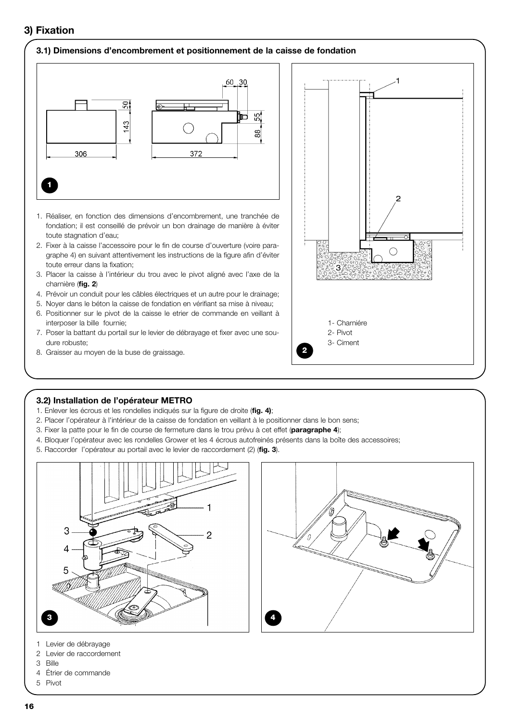## **3) Fixation**

#### **3.1) Dimensions d'encombrement et positionnement de la caisse de fondation**



- 1. Réaliser, en fonction des dimensions d'encombrement, une tranchée de fondation; il est conseillé de prévoir un bon drainage de manière à éviter toute stagnation d'eau;
- 2. Fixer à la caisse l'accessoire pour le fin de course d'ouverture (voire paragraphe 4) en suivant attentivement les instructions de la figure afin d'éviter toute erreur dans la fixation;
- 3. Placer la caisse à l'intérieur du trou avec le pivot aligné avec l'axe de la charnière (**fig. 2**)
- 4. Prévoir un conduit pour les câbles électriques et un autre pour le drainage;
- 5. Noyer dans le béton la caisse de fondation en vérifiant sa mise à niveau;
- 6. Positionner sur le pivot de la caisse le etrier de commande en veillant à interposer la bille fournie;
- 7. Poser la battant du portail sur le levier de débrayage et fixer avec une soudure robuste;
- 8. Graisser au moyen de la buse de graissage.



#### **3.2) Installation de l'opérateur METRO**

- 1. Enlever les écrous et les rondelles indiqués sur la figure de droite (**fig. 4)**;
- 2. Placer l'opérateur à l'intérieur de la caisse de fondation en veillant à le positionner dans le bon sens;
- 3. Fixer la patte pour le fin de course de fermeture dans le trou prévu à cet effet (**paragraphe 4**);
- 4. Bloquer l'opérateur avec les rondelles Grower et les 4 écrous autofreinés présents dans la boîte des accessoires;
- 5. Raccorder l'opérateur au portail avec le levier de raccordement (2) (**fig. 3**).





- 1 Levier de débrayage
- 2 Levier de raccordement
- 3 Bille
- 4 Étrier de commande
- 5 Pivot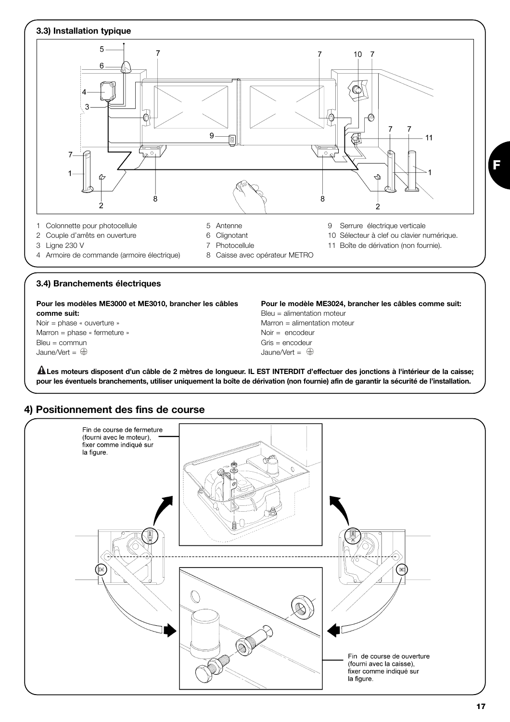

## **4) Positionnement des fins de course**



**17**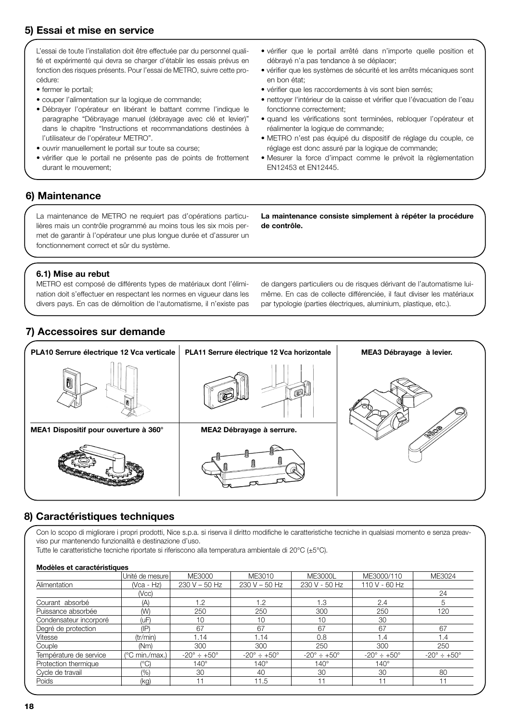## **5) Essai et mise en service**

L'essai de toute l'installation doit être effectuée par du personnel qualifié et expérimenté qui devra se charger d'établir les essais prévus en fonction des risques présents. Pour l'essai de METRO, suivre cette procédure:

- fermer le portail;
- couper l'alimentation sur la logique de commande;
- Débrayer l'opérateur en libérant le battant comme l'indique le paragraphe "Débrayage manuel (débrayage avec clé et levier)" dans le chapitre "Instructions et recommandations destinées à l'utilisateur de l'opérateur METRO".
- ouvrir manuellement le portail sur toute sa course;
- vérifier que le portail ne présente pas de points de frottement durant le mouvement;
- vérifier que le portail arrêté dans n'importe quelle position et débrayé n'a pas tendance à se déplacer;
- vérifier que les systèmes de sécurité et les arrêts mécaniques sont en bon état;
- vérifier que les raccordements à vis sont bien serrés;
- nettoyer l'intérieur de la caisse et vérifier que l'évacuation de l'eau fonctionne correctement;
- quand les vérifications sont terminées, rebloquer l'opérateur et réalimenter la logique de commande;
- METRO n'est pas équipé du dispositif de réglage du couple, ce réglage est donc assuré par la logique de commande;
- Mesurer la force d'impact comme le prévoit la règlementation EN12453 et EN12445.

## **6) Maintenance**

La maintenance de METRO ne requiert pas d'opérations particulières mais un contrôle programmé au moins tous les six mois permet de garantir à l'opérateur une plus longue durée et d'assurer un fonctionnement correct et sûr du système.

**La maintenance consiste simplement à répéter la procédure de contrôle.**

#### **6.1) Mise au rebut**

METRO est composé de différents types de matériaux dont l'élimination doit s'effectuer en respectant les normes en vigueur dans les divers pays. En cas de démolition de l'automatisme, il n'existe pas de dangers particuliers ou de risques dérivant de l'automatisme luimême. En cas de collecte différenciée, il faut diviser les matériaux par typologie (parties électriques, aluminium, plastique, etc.).

## **7) Accessoires sur demande**



## **8) Caractéristiques techniques**

Con lo scopo di migliorare i propri prodotti, Nice s.p.a. si riserva il diritto modifiche le caratteristiche tecniche in qualsiasi momento e senza preavviso pur mantenendo funzionalità e destinazione d'uso.

Tutte le caratteristiche tecniche riportate si riferiscono alla temperatura ambientale di 20°C (±5°C).

#### **Modèles et caractéristiques**

|                        | Unité de mesure l | ME3000                     | ME3010                         | <b>ME3000L</b>             | ME3000/110                    | ME3024                        |
|------------------------|-------------------|----------------------------|--------------------------------|----------------------------|-------------------------------|-------------------------------|
| Alimentation           | (Vca - Hz)        | $230 V - 50 Hz$            | $230 V - 50 Hz$                | 230 V - 50 Hz              | 110 V - 60 Hz                 |                               |
|                        | (Ncc)             |                            |                                |                            |                               | 24                            |
| Courant absorbé        | (A)               | 1.2                        | 1.2                            | 1.3                        | 2.4                           | h                             |
| Puissance absorbée     | (W)               | 250                        | 250                            | 300                        | 250                           | 120                           |
| Condensateur incorporé | (uF)              | 10                         | 10                             | 10                         | 30                            |                               |
| Degré de protection    | $(\mathsf{IP})$   | 67                         | 67                             | 67                         | 67                            | 67                            |
| Vitesse                | (tr/min)          | 1.14                       | 1.14                           | 0.8                        | 1.4                           | 1.4                           |
| Couple                 | (Nm)              | 300                        | 300                            | 250                        | 300                           | 250                           |
| Température de service | (°C min./max.)    | $-20^\circ \div +50^\circ$ | $-20^{\circ} \div +50^{\circ}$ | $-20^\circ \div +50^\circ$ | $-20^{\circ} \div 50^{\circ}$ | $-20^{\circ} \div 50^{\circ}$ |
| Protection thermique   | (°C)              | $140^\circ$                | 140°                           | $140^\circ$                | $140^\circ$                   |                               |
| Cycle de travail       | (%)               | 30                         | 40                             | 30                         | 30                            | 80                            |
| Poids                  | (kq)              | 11                         | 11.5                           |                            |                               |                               |
|                        |                   |                            |                                |                            |                               |                               |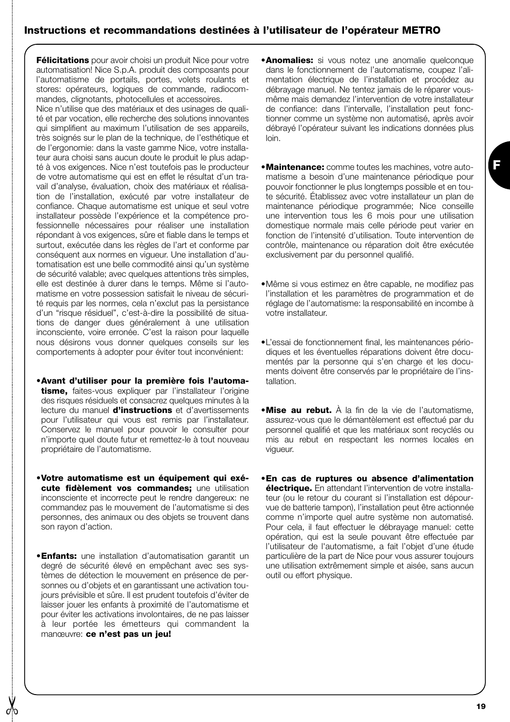## **Instructions et recommandations destinées à l'utilisateur de l'opérateur METRO**

**Félicitations** pour avoir choisi un produit Nice pour votre automatisation! Nice S.p.A. produit des composants pour l'automatisme de portails, portes, volets roulants et stores: opérateurs, logiques de commande, radiocommandes, clignotants, photocellules et accessoires.

Nice n'utilise que des matériaux et des usinages de qualité et par vocation, elle recherche des solutions innovantes qui simplifient au maximum l'utilisation de ses appareils, très soignés sur le plan de la technique, de l'esthétique et de l'ergonomie: dans la vaste gamme Nice, votre installateur aura choisi sans aucun doute le produit le plus adapté à vos exigences. Nice n'est toutefois pas le producteur de votre automatisme qui est en effet le résultat d'un travail d'analyse, évaluation, choix des matériaux et réalisation de l'installation, exécuté par votre installateur de confiance. Chaque automatisme est unique et seul votre installateur possède l'expérience et la compétence professionnelle nécessaires pour réaliser une installation répondant à vos exigences, sûre et fiable dans le temps et surtout, exécutée dans les règles de l'art et conforme par conséquent aux normes en vigueur. Une installation d'automatisation est une belle commodité ainsi qu'un système de sécurité valable; avec quelques attentions très simples, elle est destinée à durer dans le temps. Même si l'automatisme en votre possession satisfait le niveau de sécurité requis par les normes, cela n'exclut pas la persistance d'un "risque résiduel", c'est-à-dire la possibilité de situations de danger dues généralement à une utilisation inconsciente, voire erronée. C'est la raison pour laquelle nous désirons vous donner quelques conseils sur les comportements à adopter pour éviter tout inconvénient:

- •**Avant d'utiliser pour la première fois l'automatisme,** faites-vous expliquer par l'installateur l'origine des risques résiduels et consacrez quelques minutes à la lecture du manuel **d'instructions** et d'avertissements pour l'utilisateur qui vous est remis par l'installateur. Conservez le manuel pour pouvoir le consulter pour n'importe quel doute futur et remettez-le à tout nouveau propriétaire de l'automatisme.
- •**Votre automatisme est un équipement qui exécute fidèlement vos commandes;** une utilisation inconsciente et incorrecte peut le rendre dangereux: ne commandez pas le mouvement de l'automatisme si des personnes, des animaux ou des objets se trouvent dans son rayon d'action.
- •**Enfants:** une installation d'automatisation garantit un degré de sécurité élevé en empêchant avec ses systèmes de détection le mouvement en présence de personnes ou d'objets et en garantissant une activation toujours prévisible et sûre. Il est prudent toutefois d'éviter de laisser jouer les enfants à proximité de l'automatisme et pour éviter les activations involontaires, de ne pas laisser à leur portée les émetteurs qui commandent la manœuvre: **ce n'est pas un jeu!**
- **•Anomalies:** si vous notez une anomalie quelconque dans le fonctionnement de l'automatisme, coupez l'alimentation électrique de l'installation et procédez au débrayage manuel. Ne tentez jamais de le réparer vousmême mais demandez l'intervention de votre installateur de confiance: dans l'intervalle, l'installation peut fonctionner comme un système non automatisé, après avoir débrayé l'opérateur suivant les indications données plus loin.
- •**Maintenance:** comme toutes les machines, votre automatisme a besoin d'une maintenance périodique pour pouvoir fonctionner le plus longtemps possible et en toute sécurité. Établissez avec votre installateur un plan de maintenance périodique programmée; Nice conseille une intervention tous les 6 mois pour une utilisation domestique normale mais celle période peut varier en fonction de l'intensité d'utilisation. Toute intervention de contrôle, maintenance ou réparation doit être exécutée exclusivement par du personnel qualifié.
- •Même si vous estimez en être capable, ne modifiez pas l'installation et les paramètres de programmation et de réglage de l'automatisme: la responsabilité en incombe à votre installateur.
- •L'essai de fonctionnement final, les maintenances périodiques et les éventuelles réparations doivent être documentés par la personne qui s'en charge et les documents doivent être conservés par le propriétaire de l'installation.
- •**Mise au rebut.** À la fin de la vie de l'automatisme, assurez-vous que le démantèlement est effectué par du personnel qualifié et que les matériaux sont recyclés ou mis au rebut en respectant les normes locales en vigueur.
- •**En cas de ruptures ou absence d'alimentation électrique.** En attendant l'intervention de votre installateur (ou le retour du courant si l'installation est dépourvue de batterie tampon), l'installation peut être actionnée comme n'importe quel autre système non automatisé. Pour cela, il faut effectuer le débrayage manuel: cette opération, qui est la seule pouvant être effectuée par l'utilisateur de l'automatisme, a fait l'objet d'une étude particulière de la part de Nice pour vous assurer toujours une utilisation extrêmement simple et aisée, sans aucun outil ou effort physique.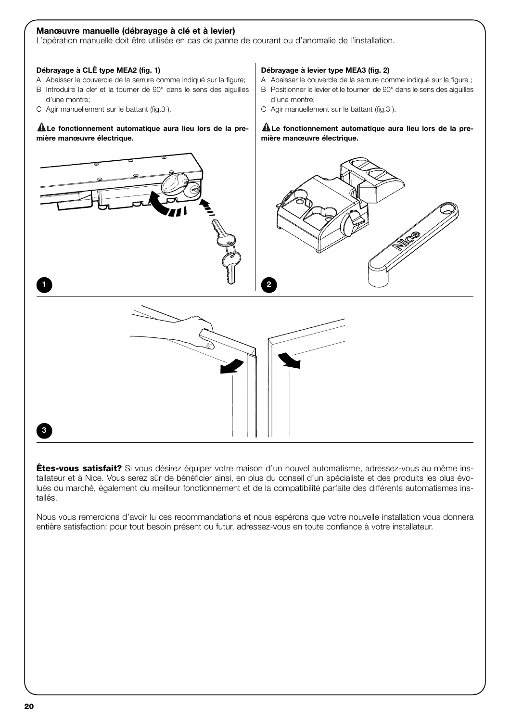#### **Manœuvre manuelle (débrayage à clé et à levier)**

L'opération manuelle doit être utilisée en cas de panne de courant ou d'anomalie de l'installation.

#### **Débrayage à CLÉ type MEA2 (fig. 1)**

- A Abaisser le couvercle de la serrure comme indiqué sur la figure;
- B Introduire la clef et la tourner de 90° dans le sens des aiguilles d'une montre;
- C Agir manuellement sur le battant (fig.3 ).

#### **Le fonctionnement automatique aura lieu lors de la pre-! mière manœuvre électrique.**

#### **Débrayage à levier type MEA3 (fig. 2)**

- A Abaisser le couvercle de la serrure comme indiqué sur la figure ;
- B Positionner le levier et le tourner de 90° dans le sens des aiguilles d'une montre;
- C Agir manuellement sur le battant (fig.3 ).

#### **Le fonctionnement automatique aura lieu lors de la pre-! mière manœuvre électrique.**



**Êtes-vous satisfait?** Si vous désirez équiper votre maison d'un nouvel automatisme, adressez-vous au même installateur et à Nice. Vous serez sûr de bénéficier ainsi, en plus du conseil d'un spécialiste et des produits les plus évolués du marché, également du meilleur fonctionnement et de la compatibilité parfaite des différents automatismes installés.

Nous vous remercions d'avoir lu ces recommandations et nous espérons que votre nouvelle installation vous donnera entière satisfaction: pour tout besoin présent ou futur, adressez-vous en toute confiance à votre installateur.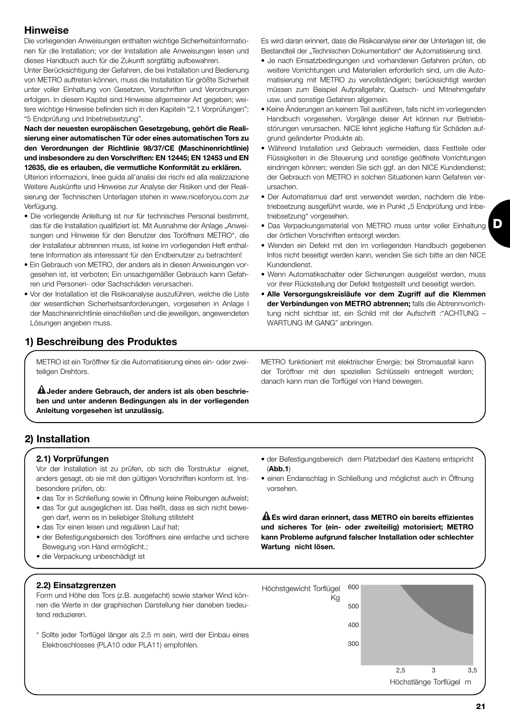## **Hinweise**

Die vorliegenden Anweisungen enthalten wichtige Sicherheitsinformationen für die Installation; vor der Installation alle Anweisungen lesen und dieses Handbuch auch für die Zukunft sorgfältig aufbewahren.

Unter Berücksichtigung der Gefahren, die bei Installation und Bedienung von METRO auftreten können, muss die Installation für größte Sicherheit unter voller Einhaltung von Gesetzen, Vorschriften und Verordnungen erfolgen. In diesem Kapitel sind Hinweise allgemeiner Art gegeben; weitere wichtige Hinweise befinden sich in den Kapiteln "2.1 Vorprüfungen"; "5 Endprüfung und Inbetriebsetzung".

**Nach der neuesten europäischen Gesetzgebung, gehört die Realisierung einer automatischen Tür oder eines automatischen Tors zu den Verordnungen der Richtlinie 98/37/CE (Maschinenrichtlinie) und insbesondere zu den Vorschriften: EN 12445; EN 12453 und EN 12635, die es erlauben, die vermutliche Konformität zu erklären.**

Ulteriori informazioni, linee guida all'analisi dei rischi ed alla realizzazione Weitere Auskünfte und Hinweise zur Analyse der Risiken und der Realisierung der Technischen Unterlagen stehen in www.niceforyou.com zur Verfügung.

- Die vorliegende Anleitung ist nur für technisches Personal bestimmt, das für die Installation qualifiziert ist. Mit Ausnahme der Anlage "Anweisungen und Hinweise für den Benutzer des Toröffners METRO", die der Installateur abtrennen muss, ist keine im vorliegenden Heft enthaltene Information als interessant für den Endbenutzer zu betrachten!
- Ein Gebrauch von METRO, der anders als in diesen Anweisungen vorgesehen ist, ist verboten; Ein unsachgemäßer Gebrauch kann Gefahren und Personen- oder Sachschäden verursachen.
- Vor der Installation ist die Risikoanalyse auszuführen, welche die Liste der wesentlichen Sicherheitsanforderungen, vorgesehen in Anlage I der Maschinenrichtlinie einschließen und die jeweiligen, angewendeten Lösungen angeben muss.

## **1) Beschreibung des Produktes**

METRO ist ein Toröffner für die Automatisierung eines ein- oder zweiteiligen Drehtors.

**Jeder andere Gebrauch, der anders ist als oben beschrie-! ben und unter anderen Bedingungen als in der vorliegenden Anleitung vorgesehen ist unzulässig.**

**2) Installation**

## **2.1) Vorprüfungen**

Vor der Installation ist zu prüfen, ob sich die Torstruktur eignet, anders gesagt, ob sie mit den gültigen Vorschriften konform ist. Insbesondere prüfen, ob:

- das Tor in Schließung sowie in Öffnung keine Reibungen aufweist;
- das Tor gut ausgeglichen ist. Das heißt, dass es sich nicht bewegen darf, wenn es in beliebiger Stellung stillsteht
- das Tor einen leisen und regulären Lauf hat:
- der Befestigungsbereich des Toröffners eine einfache und sichere Bewegung von Hand ermöglicht.;
- die Verpackung unbeschädigt ist

#### **2.2) Einsatzgrenzen**

Form und Höhe des Tors (z.B. ausgefacht) sowie starker Wind können die Werte in der graphischen Darstellung hier daneben bedeutend reduzieren.

\* Sollte jeder Torflügel länger als 2,5 m sein, wird der Einbau eines Elektroschlosses (PLA10 oder PLA11) empfohlen.

Es wird daran erinnert, dass die Risikoanalyse einer der Unterlagen ist, die Bestandteil der "Technischen Dokumentation" der Automatisierung sind.

- Je nach Einsatzbedingungen und vorhandenen Gefahren prüfen, ob weitere Vorrichtungen und Materialien erforderlich sind, um die Automatisierung mit METRO zu vervollständigen; berücksichtigt werden müssen zum Beispiel Aufprallgefahr, Quetsch- und Mitnehmgefahr usw. und sonstige Gefahren allgemein.
- Keine Änderungen an keinem Teil ausführen, falls nicht im vorliegenden Handbuch vorgesehen. Vorgänge dieser Art können nur Betriebsstörungen verursachen. NICE lehnt jegliche Haftung für Schäden aufgrund geänderter Produkte ab.
- Während Installation und Gebrauch vermeiden, dass Festteile oder Flüssigkeiten in die Steuerung und sonstige geöffnete Vorrichtungen eindringen können; wenden Sie sich ggf. an den NICE Kundendienst; der Gebrauch von METRO in solchen Situationen kann Gefahren verursachen.
- Der Automatismus darf erst verwendet werden, nachdem die Inbetriebsetzung ausgeführt wurde, wie in Punkt "5 Endprüfung und Inbetriebsetzung" vorgesehen.
- Das Verpackungsmaterial von METRO muss unter voller Einhaltung der örtlichen Vorschriften entsorgt werden.
- Wenden ein Defekt mit den im vorliegenden Handbuch gegebenen Infos nicht beseitigt werden kann, wenden Sie sich bitte an den NICE Kundendienst.
- Wenn Automatikschalter oder Sicherungen ausgelöst werden, muss vor ihrer Rückstellung der Defekt festgestellt und beseitigt werden.
- **Alle Versorgungskreisläufe vor dem Zugriff auf die Klemmen der Verbindungen von METRO abtrennen;** falls die Abtrennvorrichtung nicht sichtbar ist, ein Schild mit der Aufschrift :"ACHTUNG – WARTUNG IM GANG" anbringen.

METRO funktioniert mit elektrischer Energie; bei Stromausfall kann der Toröffner mit den speziellen Schlüsseln entriegelt werden; danach kann man die Torflügel von Hand bewegen.

- der Befestigungsbereich dem Platzbedarf des Kastens entspricht (**Abb.1**)
- einen Endanschlag in Schließung und möglichst auch in Öffnung vorsehen.

**Es wird daran erinnert, dass METRO ein bereits effizientes ! und sicheres Tor (ein- oder zweiteilig) motorisiert; METRO kann Probleme aufgrund falscher Installation oder schlechter Wartung nicht lösen.**

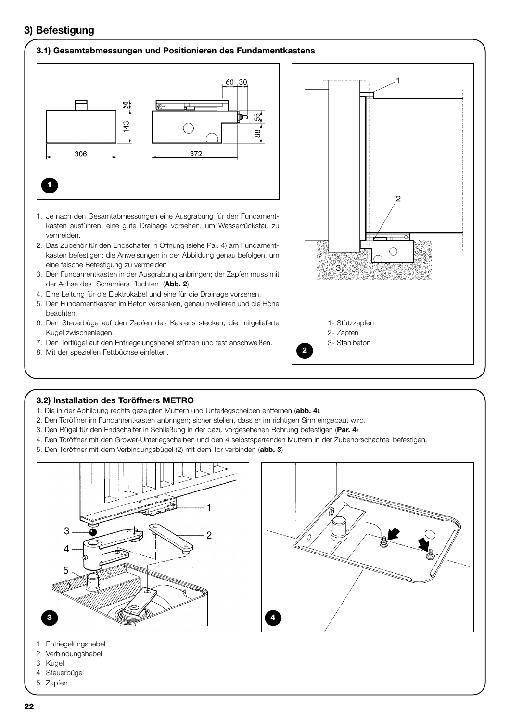## **3) Befestigung**

#### **3.1) Gesamtabmessungen und Positionieren des Fundamentkastens**



- 1. Je nach den Gesamtabmessungen eine Ausgrabung für den Fundamentkasten ausführen; eine gute Drainage vorsehen, um Wasserrückstau zu vermeiden.
- 2. Das Zubehör für den Endschalter in Öffnung (siehe Par. 4) am Fundamentkasten befestigen; die Anweisungen in der Abbildung genau befolgen, um eine falsche Befestigung zu vermeiden
- 3. Den Fundamentkasten in der Ausgrabung anbringen; der Zapfen muss mit der Achse des Scharniers fluchten (**Abb. 2**)
- 4. Eine Leitung für die Elektrokabel und eine für die Drainage vorsehen.
- 5. Den Fundamentkasten im Beton versenken, genau nivellieren und die Höhe beachten.
- 6. Den Steuerbüge auf den Zapfen des Kastens stecken; die mitgelieferte Kugel zwischenlegen.
- 7. Den Torflügel auf den Entriegelungshebel stützen und fest anschweißen.
- 8. Mit der speziellen Fettbüchse einfetten.



#### **3.2) Installation des Toröffners METRO**

- 1. Die in der Abbildung rechts gezeigten Muttern und Unterlegscheiben entfernen (**abb. 4**).
- 2. Den Toröffner im Fundamentkasten anbringen; sicher stellen, dass er im richtigen Sinn eingebaut wird.
- 3. Den Bügel für den Endschalter in Schließung in der dazu vorgesehenen Bohrung befestigen (**Par. 4**)
- 4. Den Toröffner mit den Grower-Unterlegscheiben und den 4 selbstsperrenden Muttern in der Zubehörschachtel befestigen.
- 5. Den Toröffner mit dem Verbindungsbügel (2) mit dem Tor verbinden (**abb. 3**)





- 1 Entriegelungshebel
- 2 Verbindungshebel
- 3 Kugel
- 4 Steuerbügel
- 5 Zapfen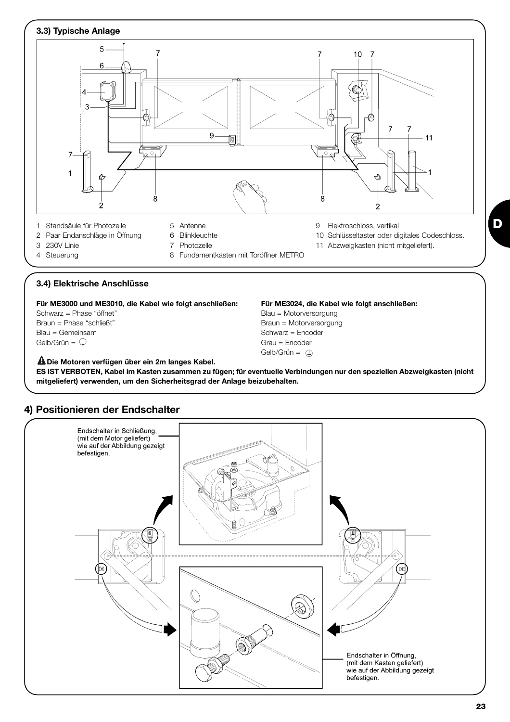

#### **3.4) Elektrische Anschlüsse**

**Für ME3000 und ME3010, die Kabel wie folgt anschließen: Für ME3024, die Kabel wie folgt anschließen:**

Blau = Gemeinsam  $\Box$ <br>  $\Box$  Schwarz = Encoder  $\Box$ <br>  $\Box$  Grau = Encoder  $\Box$ 

Schwarz = Phase "öffnet" entity is a state of the Blau = Motorversorgung Braun = Phase "schließt" et al. (1999) Braun = Motorversorgung Blau = Gemeinsam et al. (1999) Braun = Motorversorgung Blau = Gemeinsam et al. (1999) Blau = Gemeinsam et al. (1999) Blau = Gemeinsam et al. (1999) Blau = Geme Grau = Encoder Gelb/Grün =  $\oplus$ 

**Die Motoren verfügen über ein 2m langes Kabel. ! ES IST VERBOTEN, Kabel im Kasten zusammen zu fügen; für eventuelle Verbindungen nur den speziellen Abzweigkasten (nicht mitgeliefert) verwenden, um den Sicherheitsgrad der Anlage beizubehalten.**



## **4) Positionieren der Endschalter**

**D**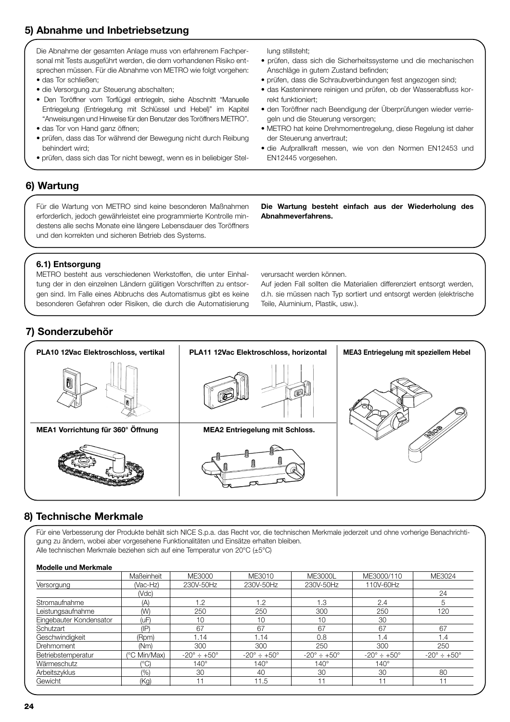## **5) Abnahme und Inbetriebsetzung**

Die Abnahme der gesamten Anlage muss von erfahrenem Fachpersonal mit Tests ausgeführt werden, die dem vorhandenen Risiko entsprechen müssen. Für die Abnahme von METRO wie folgt vorgehen:

- das Tor schließen;
- die Versorgung zur Steuerung abschalten;
- Den Toröffner vom Torflügel entriegeln, siehe Abschnitt "Manuelle Entriegelung (Entriegelung mit Schlüssel und Hebel)" im Kapitel "Anweisungen und Hinweise für den Benutzer des Toröffners METRO".
- das Tor von Hand ganz öffnen;
- prüfen, dass das Tor während der Bewegung nicht durch Reibung behindert wird;
- prüfen, dass sich das Tor nicht bewegt, wenn es in beliebiger Stel-

lung stillsteht;

- prüfen, dass sich die Sicherheitssysteme und die mechanischen Anschläge in gutem Zustand befinden;
- prüfen, dass die Schraubverbindungen fest angezogen sind;
- das Kasteninnere reinigen und prüfen, ob der Wasserabfluss korrekt funktioniert;
- den Toröffner nach Beendigung der Überprüfungen wieder verriegeln und die Steuerung versorgen;
- METRO hat keine Drehmomentregelung, diese Regelung ist daher der Steuerung anvertraut;
- die Aufprallkraft messen, wie von den Normen EN12453 und EN12445 vorgesehen.

## **6) Wartung**

Für die Wartung von METRO sind keine besonderen Maßnahmen erforderlich, jedoch gewährleistet eine programmierte Kontrolle mindestens alle sechs Monate eine längere Lebensdauer des Toröffners und den korrekten und sicheren Betrieb des Systems.

**Die Wartung besteht einfach aus der Wiederholung des Abnahmeverfahrens.**

## **6.1) Entsorgung**

METRO besteht aus verschiedenen Werkstoffen, die unter Einhaltung der in den einzelnen Ländern gülitigen Vorschriften zu entsorgen sind. Im Falle eines Abbruchs des Automatismus gibt es keine besonderen Gefahren oder Risiken, die durch die Automatisierung

verursacht werden können.

Auf jeden Fall sollten die Materialien differenziert entsorgt werden, d.h. sie müssen nach Typ sortiert und entsorgt werden (elektrische Teile, Aluminium, Plastik, usw.).

## **7) Sonderzubehör**



## **8) Technische Merkmale**

Für eine Verbesserung der Produkte behält sich NICE S.p.a. das Recht vor, die technischen Merkmale jederzeit und ohne vorherige Benachrichtigung zu ändern, wobei aber vorgesehene Funktionalitäten und Einsätze erhalten bleiben. Alle technischen Merkmale beziehen sich auf eine Temperatur von 20°C (±5°C)

#### **Modelle und Merkmale**

| Maßeinheit      | ME3000                     | ME3010                         | <b>ME3000L</b>             | ME3000/110                 | ME3024                         |
|-----------------|----------------------------|--------------------------------|----------------------------|----------------------------|--------------------------------|
| (Vac-Hz)        | 230V-50Hz                  | 230V-50Hz                      | 230V-50Hz                  | 110V-60Hz                  |                                |
| (Vdc)           |                            |                                |                            |                            | 24                             |
| (A)             | 1.2                        | 1.2                            | 1.3                        | 2.4                        | b                              |
| (W)             | 250                        | 250                            | 300                        | 250                        | 120                            |
| (uF)            | 10                         | 10                             | 10                         | 30                         |                                |
| $(\mathsf{IP})$ | 67                         | 67                             | 67                         | 67                         | 67                             |
| (Rpm)           | 1.14                       | 1.14                           | 0.8                        | 1.4                        | 1.4                            |
| (Nm)            | 300                        | 300                            | 250                        | 300                        | 250                            |
| (°C Min/Max)    | $-20^\circ \div +50^\circ$ | $-20^{\circ} \div +50^{\circ}$ | $-20^\circ \div +50^\circ$ | $-20^\circ \div +50^\circ$ | $-20^{\circ} \div 150^{\circ}$ |
| $(^{\circ}C)$   | $140^\circ$                | $140^\circ$                    | $140^\circ$                | $140^\circ$                |                                |
| (9/0)           | 30                         | 40                             | 30                         | 30                         | 80                             |
| (Kq)            | 11                         | 11.5                           | 11                         |                            | 11                             |
|                 |                            |                                |                            |                            |                                |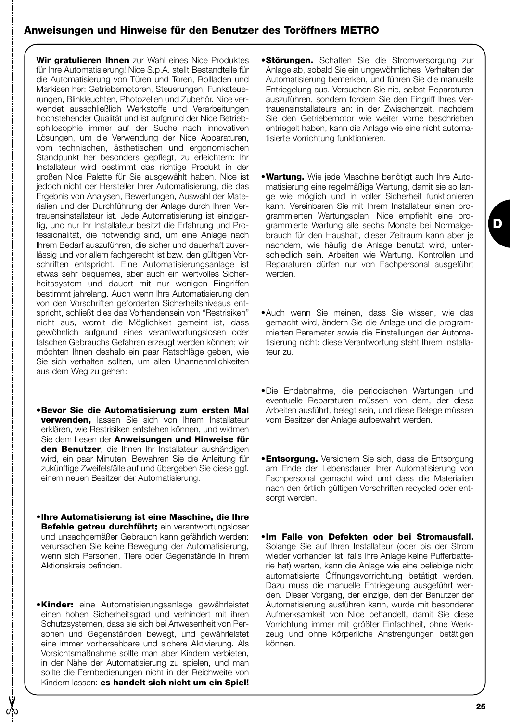## **Anweisungen und Hinweise für den Benutzer des Toröffners METRO**

**Wir gratulieren Ihnen** zur Wahl eines Nice Produktes für Ihre Automatisierung! Nice S.p.A. stellt Bestandteile für die Automatisierung von Türen und Toren, Rollladen und Markisen her: Getriebemotoren, Steuerungen, Funksteuerungen, Blinkleuchten, Photozellen und Zubehör. Nice verwendet ausschließlich Werkstoffe und Verarbeitungen hochstehender Qualität und ist aufgrund der Nice Betriebsphilosophie immer auf der Suche nach innovativen Lösungen, um die Verwendung der Nice Apparaturen, vom technischen, ästhetischen und ergonomischen Standpunkt her besonders gepflegt, zu erleichtern: Ihr Installateur wird bestimmt das richtige Produkt in der großen Nice Palette für Sie ausgewählt haben. Nice ist jedoch nicht der Hersteller Ihrer Automatisierung, die das Ergebnis von Analysen, Bewertungen, Auswahl der Materialien und der Durchführung der Anlage durch Ihren Vertrauensinstallateur ist. Jede Automatisierung ist einzigartig, und nur Ihr Installateur besitzt die Erfahrung und Professionalität, die notwendig sind, um eine Anlage nach Ihrem Bedarf auszuführen, die sicher und dauerhaft zuverlässig und vor allem fachgerecht ist bzw. den gültigen Vorschriften entspricht. Eine Automatisierungsanlage ist etwas sehr bequemes, aber auch ein wertvolles Sicherheitssystem und dauert mit nur wenigen Eingriffen bestimmt jahrelang. Auch wenn Ihre Automatisierung den von den Vorschriften geforderten Sicherheitsniveaus entspricht, schließt dies das Vorhandensein von "Restrisiken" nicht aus, womit die Möglichkeit gemeint ist, dass gewöhnlich aufgrund eines verantwortungslosen oder falschen Gebrauchs Gefahren erzeugt werden können; wir möchten Ihnen deshalb ein paar Ratschläge geben, wie Sie sich verhalten sollten, um allen Unannehmlichkeiten aus dem Weg zu gehen:

- •**Bevor Sie die Automatisierung zum ersten Mal verwenden,** lassen Sie sich von Ihrem Installateur erklären, wie Restrisiken entstehen können, und widmen Sie dem Lesen der **Anweisungen und Hinweise für den Benutzer**, die Ihnen Ihr Installateur aushändigen wird, ein paar Minuten. Bewahren Sie die Anleitung für zukünftige Zweifelsfälle auf und übergeben Sie diese ggf. einem neuen Besitzer der Automatisierung.
- •**Ihre Automatisierung ist eine Maschine, die Ihre Befehle getreu durchführt:** ein verantwortungsloser und unsachgemäßer Gebrauch kann gefährlich werden: verursachen Sie keine Bewegung der Automatisierung, wenn sich Personen, Tiere oder Gegenstände in ihrem Aktionskreis befinden.
- •**Kinder:** eine Automatisierungsanlage gewährleistet einen hohen Sicherheitsgrad und verhindert mit ihren Schutzsystemen, dass sie sich bei Anwesenheit von Personen und Gegenständen bewegt, und gewährleistet eine immer vorhersehbare und sichere Aktivierung. Als Vorsichtsmaßnahme sollte man aber Kindern verbieten, in der Nähe der Automatisierung zu spielen, und man sollte die Fernbedienungen nicht in der Reichweite von Kindern lassen: **es handelt sich nicht um ein Spiel!**
- •**Störungen.** Schalten Sie die Stromversorgung zur Anlage ab, sobald Sie ein ungewöhnliches Verhalten der Automatisierung bemerken, und führen Sie die manuelle Entriegelung aus. Versuchen Sie nie, selbst Reparaturen auszuführen, sondern fordern Sie den Eingriff Ihres Vertrauensinstallateurs an: in der Zwischenzeit, nachdem Sie den Getriebemotor wie weiter vorne beschrieben entriegelt haben, kann die Anlage wie eine nicht automatisierte Vorrichtung funktionieren.
- •**Wartung.** Wie jede Maschine benötigt auch Ihre Automatisierung eine regelmäßige Wartung, damit sie so lange wie möglich und in voller Sicherheit funktionieren kann. Vereinbaren Sie mit Ihrem Installateur einen programmierten Wartungsplan. Nice empfiehlt eine programmierte Wartung alle sechs Monate bei Normalgebrauch für den Haushalt, dieser Zeitraum kann aber je nachdem, wie häufig die Anlage benutzt wird, unterschiedlich sein. Arbeiten wie Wartung, Kontrollen und Reparaturen dürfen nur von Fachpersonal ausgeführt werden.
- •Auch wenn Sie meinen, dass Sie wissen, wie das gemacht wird, ändern Sie die Anlage und die programmierten Parameter sowie die Einstellungen der Automatisierung nicht: diese Verantwortung steht Ihrem Installateur zu.
- •Die Endabnahme, die periodischen Wartungen und eventuelle Reparaturen müssen von dem, der diese Arbeiten ausführt, belegt sein, und diese Belege müssen vom Besitzer der Anlage aufbewahrt werden.
- •**Entsorgung.** Versichern Sie sich, dass die Entsorgung am Ende der Lebensdauer Ihrer Automatisierung von Fachpersonal gemacht wird und dass die Materialien nach den örtlich gültigen Vorschriften recycled oder entsorgt werden.
- •**Im Falle von Defekten oder bei Stromausfall.** Solange Sie auf Ihren Installateur (oder bis der Strom wieder vorhanden ist, falls Ihre Anlage keine Pufferbatterie hat) warten, kann die Anlage wie eine beliebige nicht automatisierte Öffnungsvorrichtung betätigt werden. Dazu muss die manuelle Entriegelung ausgeführt werden. Dieser Vorgang, der einzige, den der Benutzer der Automatisierung ausführen kann, wurde mit besonderer Aufmerksamkeit von Nice behandelt, damit Sie diese Vorrichtung immer mit größter Einfachheit, ohne Werkzeug und ohne körperliche Anstrengungen betätigen können.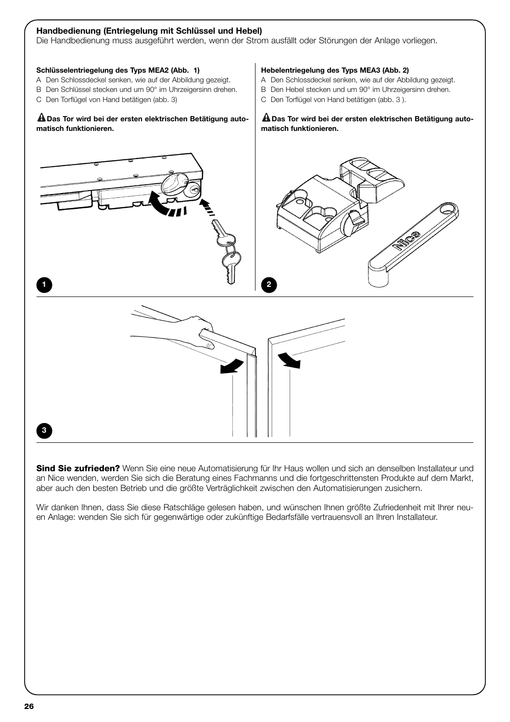#### **Handbedienung (Entriegelung mit Schlüssel und Hebel)**

Die Handbedienung muss ausgeführt werden, wenn der Strom ausfällt oder Störungen der Anlage vorliegen.

#### **Schlüsselentriegelung des Typs MEA2 (Abb. 1)**

- A Den Schlossdeckel senken, wie auf der Abbildung gezeigt.
- B Den Schlüssel stecken und um 90° im Uhrzeigersinn drehen.
- C Den Torflügel von Hand betätigen (abb. 3)

#### **Das Tor wird bei der ersten elektrischen Betätigung auto-! matisch funktionieren.**

#### **Hebelentriegelung des Typs MEA3 (Abb. 2)**

- A Den Schlossdeckel senken, wie auf der Abbildung gezeigt.
- B Den Hebel stecken und um 90° im Uhrzeigersinn drehen.
- C Den Torflügel von Hand betätigen (abb. 3 ).

#### **Das Tor wird bei der ersten elektrischen Betätigung auto-! matisch funktionieren.**



**Sind Sie zufrieden?** Wenn Sie eine neue Automatisierung für Ihr Haus wollen und sich an denselben Installateur und an Nice wenden, werden Sie sich die Beratung eines Fachmanns und die fortgeschrittensten Produkte auf dem Markt, aber auch den besten Betrieb und die größte Verträglichkeit zwischen den Automatisierungen zusichern.

Wir danken Ihnen, dass Sie diese Ratschläge gelesen haben, und wünschen Ihnen größte Zufriedenheit mit Ihrer neuen Anlage: wenden Sie sich für gegenwärtige oder zukünftige Bedarfsfälle vertrauensvoll an Ihren Installateur.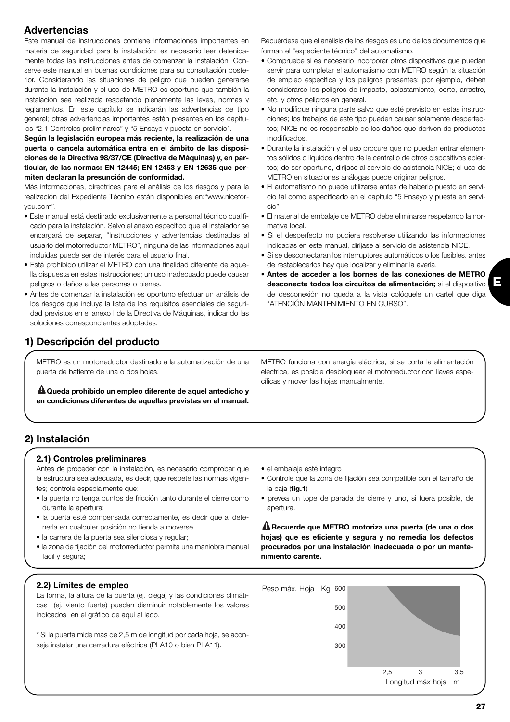## **Advertencias**

Este manual de instrucciones contiene informaciones importantes en materia de seguridad para la instalación; es necesario leer detenidamente todas las instrucciones antes de comenzar la instalación. Conserve este manual en buenas condiciones para su consultación posterior. Considerando las situaciones de peligro que pueden generarse durante la instalación y el uso de METRO es oportuno que también la instalación sea realizada respetando plenamente las leyes, normas y reglamentos. En este capítulo se indicarán las advertencias de tipo general; otras advertencias importantes están presentes en los capítulos "2.1 Controles preliminares" y "5 Ensayo y puesta en servicio".

**Según la legislación europea más reciente, la realización de una puerta o cancela automática entra en el ámbito de las disposiciones de la Directiva 98/37/CE (Directiva de Máquinas) y, en particular, de las normas: EN 12445; EN 12453 y EN 12635 que permiten declaran la presunción de conformidad.**

Más informaciones, directrices para el análisis de los riesgos y para la realización del Expediente Técnico están disponibles en:"www.niceforyou.com".

- Este manual está destinado exclusivamente a personal técnico cualificado para la instalación. Salvo el anexo específico que el instalador se encargará de separar, "Instrucciones y advertencias destinadas al usuario del motorreductor METRO", ninguna de las informaciones aquí incluidas puede ser de interés para el usuario final.
- Está prohibido utilizar el METRO con una finalidad diferente de aquella dispuesta en estas instrucciones; un uso inadecuado puede causar peligros o daños a las personas o bienes.
- Antes de comenzar la instalación es oportuno efectuar un análisis de los riesgos que incluva la lista de los requisitos esenciales de seguridad previstos en el anexo I de la Directiva de Máquinas, indicando las soluciones correspondientes adoptadas.

## **1) Descripción del producto**

METRO es un motorreductor destinado a la automatización de una puerta de batiente de una o dos hojas.

**Queda prohibido un empleo diferente de aquel antedicho y ! en condiciones diferentes de aquellas previstas en el manual.** Recuérdese que el análisis de los riesgos es uno de los documentos que forman el "expediente técnico" del automatismo.

- Compruebe si es necesario incorporar otros dispositivos que puedan servir para completar el automatismo con METRO según la situación de empleo específica y los peligros presentes: por ejemplo, deben considerarse los peligros de impacto, aplastamiento, corte, arrastre, etc. y otros peligros en general.
- No modifique ninguna parte salvo que esté previsto en estas instrucciones; los trabajos de este tipo pueden causar solamente desperfectos; NICE no es responsable de los daños que deriven de productos modificados.
- Durante la instalación y el uso procure que no puedan entrar elementos sólidos o líquidos dentro de la central o de otros dispositivos abiertos; de ser oportuno, diríjase al servicio de asistencia NICE; el uso de METRO en situaciones análogas puede originar peligros.
- El automatismo no puede utilizarse antes de haberlo puesto en servicio tal como especificado en el capítulo "5 Ensayo y puesta en servicio".
- El material de embalaje de METRO debe eliminarse respetando la normativa local.
- Si el desperfecto no pudiera resolverse utilizando las informaciones indicadas en este manual, diríjase al servicio de asistencia NICE.
- Si se desconectaran los interruptores automáticos o los fusibles, antes de restablecerlos hay que localizar y eliminar la avería.
- **Antes de acceder a los bornes de las conexiones de METRO desconecte todos los circuitos de alimentación;** si el dispositivo de desconexión no queda a la vista colóquele un cartel que diga "ATENCIÓN MANTENIMIENTO EN CURSO".

METRO funciona con energía eléctrica, si se corta la alimentación eléctrica, es posible desbloquear el motorreductor con llaves específicas y mover las hojas manualmente.

## **2) Instalación**

#### **2.1) Controles preliminares**

Antes de proceder con la instalación, es necesario comprobar que la estructura sea adecuada, es decir, que respete las normas vigentes; controle especialmente que:

- la puerta no tenga puntos de fricción tanto durante el cierre como durante la apertura;
- la puerta esté compensada correctamente, es decir que al detenerla en cualquier posición no tienda a moverse.
- la carrera de la puerta sea silenciosa y regular;
- la zona de fijación del motorreductor permita una maniobra manual fácil y segura;
- el embalaje esté íntegro
- Controle que la zona de fijación sea compatible con el tamaño de la caja (**fig.1**)
- prevea un tope de parada de cierre y uno, si fuera posible, de apertura.

**Recuerde que METRO motoriza una puerta (de una o dos ! hojas) que es eficiente y segura y no remedia los defectos procurados por una instalación inadecuada o por un mantenimiento carente.**

#### **2.2) Límites de empleo**

La forma, la altura de la puerta (ej. ciega) y las condiciones climáticas (ej. viento fuerte) pueden disminuir notablemente los valores indicados en el gráfico de aquí al lado.

\* Si la puerta mide más de 2,5 m de longitud por cada hoja, se aconseja instalar una cerradura eléctrica (PLA10 o bien PLA11).

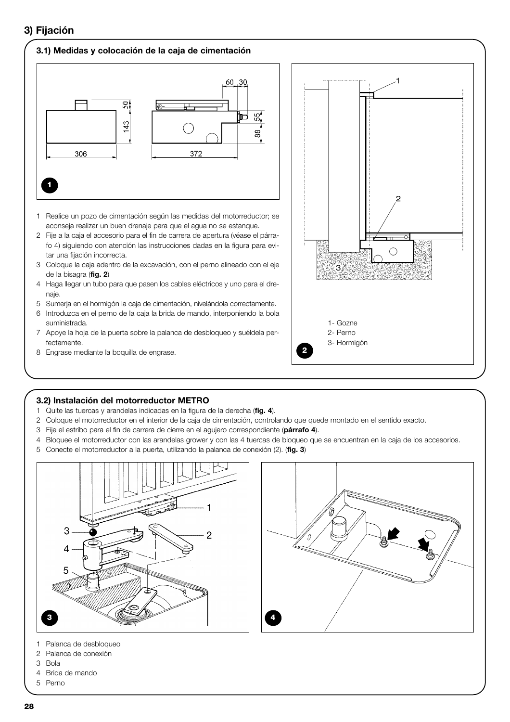## **3) Fijación**

#### **3.1) Medidas y colocación de la caja de cimentación**



- 1 Realice un pozo de cimentación según las medidas del motorreductor; se aconseja realizar un buen drenaje para que el agua no se estanque.
- 2 Fije a la caja el accesorio para el fin de carrera de apertura (véase el párrafo 4) siguiendo con atención las instrucciones dadas en la figura para evitar una fijación incorrecta.
- 3 Coloque la caja adentro de la excavación, con el perno alineado con el eje de la bisagra (**fig. 2**)
- 4 Haga llegar un tubo para que pasen los cables eléctricos y uno para el drenaje.
- 5 Sumerja en el hormigón la caja de cimentación, nivelándola correctamente.
- 6 Introduzca en el perno de la caja la brida de mando, interponiendo la bola suministrada.
- 7 Apoye la hoja de la puerta sobre la palanca de desbloqueo y suéldela perfectamente.
- 8 Engrase mediante la boquilla de engrase.



#### **3.2) Instalación del motorreductor METRO**

- 1 Quite las tuercas y arandelas indicadas en la figura de la derecha (**fig. 4**).
- 2 Coloque el motorreductor en el interior de la caja de cimentación, controlando que quede montado en el sentido exacto.
- 3 Fije el estribo para el fin de carrera de cierre en el agujero correspondiente (**párrafo 4**).
- 4 Bloquee el motorreductor con las arandelas grower y con las 4 tuercas de bloqueo que se encuentran en la caja de los accesorios.
- 5 Conecte el motorreductor a la puerta, utilizando la palanca de conexión (2). (**fig. 3**)





- 1 Palanca de desbloqueo
- 2 Palanca de conexión
- 3 Bola
- 4 Brida de mando
- 5 Perno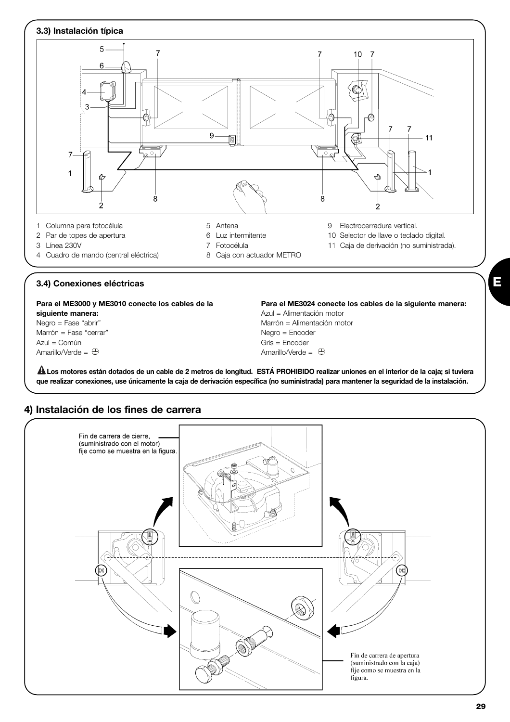

**Los motores están dotados de un cable de 2 metros de longitud. ESTÁ PROHIBIDO realizar uniones en el interior de la caja; si tuviera ! que realizar conexiones, use únicamente la caja de derivación específica (no suministrada) para mantener la seguridad de la instalación.**

## **4) Instalación de los fines de carrera**



**E**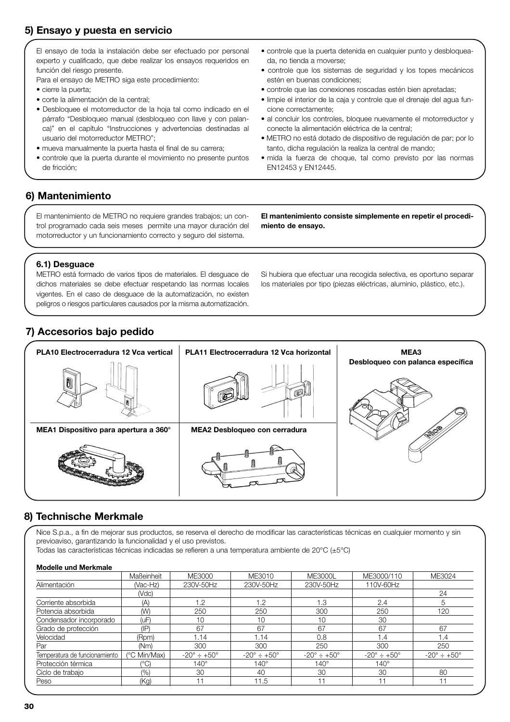## **5) Ensayo y puesta en servicio**

El ensayo de toda la instalación debe ser efectuado por personal experto y cualificado, que debe realizar los ensayos requeridos en función del riesgo presente.

Para el ensayo de METRO siga este procedimiento:

- cierre la puerta;
- corte la alimentación de la central;
- Desbloquee el motorreductor de la hoja tal como indicado en el párrafo "Desbloqueo manual (desbloqueo con llave y con palanca)" en el capítulo "Instrucciones y advertencias destinadas al usuario del motorreductor METRO";
- mueva manualmente la puerta hasta el final de su carrera;
- controle que la puerta durante el movimiento no presente puntos de fricción;
- controle que la puerta detenida en cualquier punto y desbloqueada, no tienda a moverse;
- controle que los sistemas de seguridad y los topes mecánicos estén en buenas condiciones;
- controle que las conexiones roscadas estén bien apretadas;
- limpie el interior de la caja y controle que el drenaje del agua funcione correctamente;
- al concluir los controles, bloquee nuevamente el motorreductor y conecte la alimentación eléctrica de la central;
- METRO no está dotado de dispositivo de regulación de par; por lo tanto, dicha regulación la realiza la central de mando;
- mida la fuerza de choque, tal como previsto por las normas EN12453 y EN12445.

## **6) Mantenimiento**

El mantenimiento de METRO no requiere grandes trabajos; un control programado cada seis meses permite una mayor duración del motorreductor y un funcionamiento correcto y seguro del sistema.

**El mantenimiento consiste simplemente en repetir el procedimiento de ensayo.**

#### **6.1) Desguace**

METRO está formado de varios tipos de materiales. El desguace de dichos materiales se debe efectuar respetando las normas locales vigentes. En el caso de desguace de la automatización, no existen peligros o riesgos particulares causados por la misma automatización.

Si hubiera que efectuar una recogida selectiva, es oportuno separar los materiales por tipo (piezas eléctricas, aluminio, plástico, etc.).

## **7) Accesorios bajo pedido**



## **8) Technische Merkmale**

Nice S.p.a., a fin de mejorar sus productos, se reserva el derecho de modificar las características técnicas en cualquier momento y sin previoaviso, garantizando la funcionalidad y el uso previstos.

Todas las características técnicas indicadas se refieren a una temperatura ambiente de 20°C (±5°C)

#### **Modelle und Merkmale**

| Maßeinheit      | ME3000                     | ME3010                         | <b>ME3000L</b>                 | ME3000/110                     | ME3024                         |
|-----------------|----------------------------|--------------------------------|--------------------------------|--------------------------------|--------------------------------|
| (Vac-Hz)        | 230V-50Hz                  | 230V-50Hz                      | 230V-50Hz                      | 110V-60Hz                      |                                |
| (Vdc)           |                            |                                |                                |                                | 24                             |
| (A)             | 1.2                        | 1.2                            | 1.3                            | 2.4                            |                                |
| (W)             | 250                        | 250                            | 300                            | 250                            | 120                            |
| (uF)            | 10                         | 10                             | 10                             | 30                             |                                |
| $(\mathsf{IP})$ | 67                         | 67                             | 67                             | 67                             | 67                             |
| (Rpm)           | 1.14                       | .14                            | 0.8                            | 1.4                            | 1.4                            |
| (Nm)            | 300                        | 300                            | 250                            | 300                            | 250                            |
| (°C Min/Max)    | $-20^\circ \div +50^\circ$ | $-20^{\circ} \div 150^{\circ}$ | $-20^{\circ} \div 150^{\circ}$ | $-20^{\circ} \div 150^{\circ}$ | $-20^{\circ} \div 150^{\circ}$ |
| $(^{\circ}C)$   | $140^\circ$                | $140^\circ$                    | $140^\circ$                    | $140^\circ$                    |                                |
| (9/0)           | 30                         | 40                             | 30                             | 30                             | 80                             |
| (Kg)            | 11                         | 11.5                           |                                |                                |                                |
|                 |                            |                                |                                |                                |                                |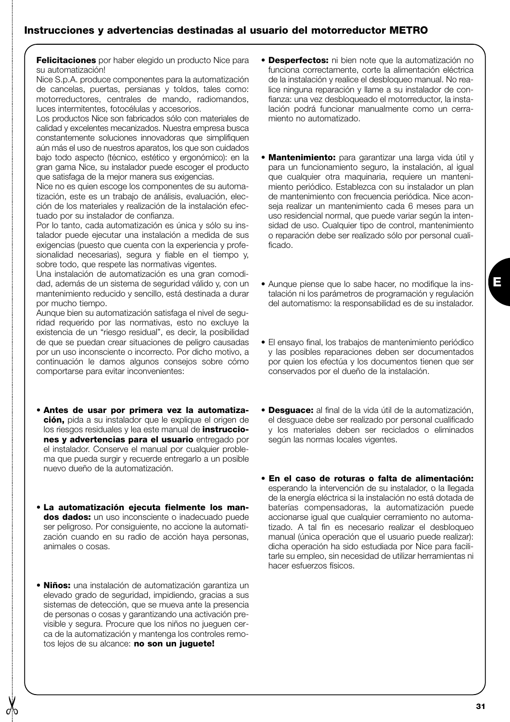**Felicitaciones** por haber elegido un producto Nice para su automatización!

Nice S.p.A. produce componentes para la automatización de cancelas, puertas, persianas y toldos, tales como: motorreductores, centrales de mando, radiomandos, luces intermitentes, fotocélulas y accesorios.

Los productos Nice son fabricados sólo con materiales de calidad y excelentes mecanizados. Nuestra empresa busca constantemente soluciones innovadoras que simplifiquen aún más el uso de nuestros aparatos, los que son cuidados bajo todo aspecto (técnico, estético y ergonómico): en la gran gama Nice, su instalador puede escoger el producto que satisfaga de la mejor manera sus exigencias.

Nice no es quien escoge los componentes de su automatización, este es un trabajo de análisis, evaluación, elección de los materiales y realización de la instalación efectuado por su instalador de confianza.

Por lo tanto, cada automatización es única y sólo su instalador puede ejecutar una instalación a medida de sus exigencias (puesto que cuenta con la experiencia y profesionalidad necesarias), segura y fiable en el tiempo y, sobre todo, que respete las normativas vigentes.

Una instalación de automatización es una gran comodidad, además de un sistema de seguridad válido y, con un mantenimiento reducido y sencillo, está destinada a durar por mucho tiempo.

Aunque bien su automatización satisfaga el nivel de seguridad requerido por las normativas, esto no excluye la existencia de un "riesgo residual", es decir, la posibilidad de que se puedan crear situaciones de peligro causadas por un uso inconsciente o incorrecto. Por dicho motivo, a continuación le damos algunos consejos sobre cómo comportarse para evitar inconvenientes:

- **Antes de usar por primera vez la automatización,** pida a su instalador que le explique el origen de los riesgos residuales y lea este manual de **instrucciones y advertencias para el usuario** entregado por el instalador. Conserve el manual por cualquier problema que pueda surgir y recuerde entregarlo a un posible nuevo dueño de la automatización.
- **La automatización ejecuta fielmente los mandos dados:** un uso inconsciente o inadecuado puede ser peligroso. Por consiguiente, no accione la automatización cuando en su radio de acción haya personas, animales o cosas.
- **Niños:** una instalación de automatización garantiza un elevado grado de seguridad, impidiendo, gracias a sus sistemas de detección, que se mueva ante la presencia de personas o cosas y garantizando una activación previsible y segura. Procure que los niños no jueguen cerca de la automatización y mantenga los controles remotos lejos de su alcance: **no son un juguete!**
- **Desperfectos:** ni bien note que la automatización no funciona correctamente, corte la alimentación eléctrica de la instalación y realice el desbloqueo manual. No realice ninguna reparación y llame a su instalador de confianza: una vez desbloqueado el motorreductor, la instalación podrá funcionar manualmente como un cerramiento no automatizado.
- **Mantenimiento:** para garantizar una larga vida útil y para un funcionamiento seguro, la instalación, al igual que cualquier otra maquinaria, requiere un mantenimiento periódico. Establezca con su instalador un plan de mantenimiento con frecuencia periódica. Nice aconseja realizar un mantenimiento cada 6 meses para un uso residencial normal, que puede variar según la intensidad de uso. Cualquier tipo de control, mantenimiento o reparación debe ser realizado sólo por personal cualificado.
- Aunque piense que lo sabe hacer, no modifique la instalación ni los parámetros de programación y regulación del automatismo: la responsabilidad es de su instalador.
- El ensayo final, los trabajos de mantenimiento periódico y las posibles reparaciones deben ser documentados por quien los efectúa y los documentos tienen que ser conservados por el dueño de la instalación.
- **Desguace:** al final de la vida útil de la automatización, el desguace debe ser realizado por personal cualificado y los materiales deben ser reciclados o eliminados según las normas locales vigentes.
- **En el caso de roturas o falta de alimentación:** esperando la intervención de su instalador, o la llegada de la energía eléctrica si la instalación no está dotada de baterías compensadoras, la automatización puede accionarse igual que cualquier cerramiento no automatizado. A tal fin es necesario realizar el desbloqueo manual (única operación que el usuario puede realizar): dicha operación ha sido estudiada por Nice para facilitarle su empleo, sin necesidad de utilizar herramientas ni hacer esfuerzos físicos.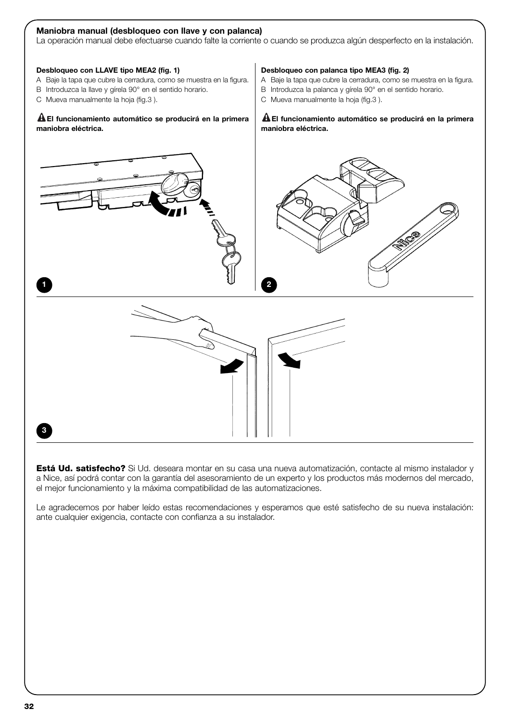# La operación manual debe efectuarse cuando falte la corriente o cuando se produzca algún desperfecto en la instalación. **Desbloqueo con LLAVE tipo MEA2 (fig. 1)** A Baje la tapa que cubre la cerradura, como se muestra en la figura. B Introduzca la llave y gírela 90° en el sentido horario. C Mueva manualmente la hoja (fig.3 ). **El funcionamiento automático se producirá en la primera ! maniobra eléctrica. Desbloqueo con palanca tipo MEA3 (fig. 2)** A Baje la tapa que cubre la cerradura, como se muestra en la figura. B Introduzca la palanca y gírela 90° en el sentido horario. C Mueva manualmente la hoja (fig.3 ). **El funcionamiento automático se producirá en la primera ! maniobra eléctrica. 1 2**

**Maniobra manual (desbloqueo con llave y con palanca)**

**Está Ud. satisfecho?** Si Ud. deseara montar en su casa una nueva automatización, contacte al mismo instalador y a Nice, así podrá contar con la garantía del asesoramiento de un experto y los productos más modernos del mercado, el mejor funcionamiento y la máxima compatibilidad de las automatizaciones.

Le agradecemos por haber leído estas recomendaciones y esperamos que esté satisfecho de su nueva instalación: ante cualquier exigencia, contacte con confianza a su instalador.

**3**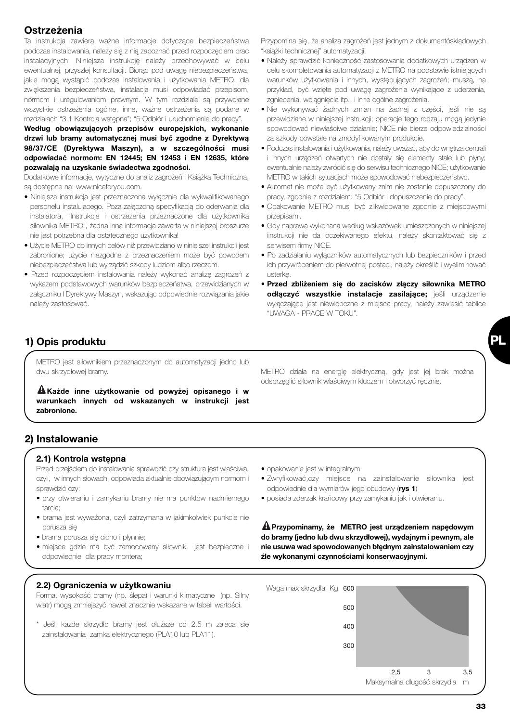## **Ostrzeżenia**

Ta instrukcja zawiera ważne informacje dotyczące bezpieczeństwa podczas instalowania, należy się z nią zapoznać przed rozpoczęciem prac instalacyjnych. Niniejsza instrukcję należy przechowywać w celu ewentualnej, przyszłej konsultacji. Biorąc pod uwagę niebezpieczeństwa, jakie mogą wystąpić podczas instalowania i użytkowania METRO, dla zwiększenia bezpieczeństwa, instalacja musi odpowiadać przepisom, normom i uregulowaniom prawnym. W tym rozdziale są przywołane wszystkie ostrzeżenia ogólne, inne, ważne ostrzeżenia są podane w rozdziałach "3.1 Kontrola wstępna"; "5 Odbiór i uruchomienie do pracy".

**Według obowiązujących przepisów europejskich, wykonanie drzwi lub bramy automatycznej musi być zgodne z Dyrektywą 98/37/CE (Dyrektywa Maszyn), a w szczególności musi odpowiadać normom: EN 12445; EN 12453 i EN 12635, które pozwalają na uzyskanie świadectwa zgodności.**

Dodatkowe informacje, wytyczne do analiz zagrożeń i Książka Techniczna, są dostępne na: www.niceforyou.com.

- Niniejsza instrukcja jest przeznaczona wyłącznie dla wykwalifikowanego personelu instalujacego. Poza załączoną specyfikacją do oderwania dla instalatora, "Instrukcje i ostrzeżenia przeznaczone dla użytkownika siłownika METRO", żadna inna informacja zawarta w niniejszej broszurze nie jest potrzebna dla ostatecznego użytkownika!
- Użycie METRO do innych celów niż przewidziano w niniejszej instrukcji jest zabronione; użycie niezgodne z przeznaczeniem może być powodem niebezpieczeństwa lub wyrządzić szkody ludziom albo rzeczom.
- Przed rozpoczęciem instalowania należy wykonać analizę zagrożeń z wykazem podstawowych warunków bezpieczeństwa, przewidzianych w załączniku I Dyrektywy Maszyn, wskazując odpowiednie rozwiązania jakie należy zastosować.

Przypomina się, że analiza zagrożeń jest jednym z dokumentóskładowych "książki technicznej" automatyzacji.

- Należy sprawdzić konieczność zastosowania dodatkowych urządzeń w celu skompletowania automatyzacji z METRO na podstawie istniejących warunków użytkowania i innych, występujących zagrożeń; muszą, na przykład, być wzięte pod uwagę zagrożenia wynikające z uderzenia, zgniecenia, wciągnięcia itp., i inne ogólne zagrożenia.
- Nie wykonywać żadnych zmian na żadnej z części, jeśli nie są przewidziane w niniejszej instrukcji; operacje tego rodzaju mogą jedynie spowodować niewłaściwe działanie; NICE nie bierze odpowiedzialności za szkody powstałe na zmodyfikowanym produkcie.
- Podczas instalowania i użytkowania, należy uważać, aby do wnętrza centrali i innych urządzeń otwartych nie dostały się elementy stałe lub płyny; ewentualnie należy zwrócić się do serwisu technicznego NICE; użytkowanie METRO w takich sytuacjach może spowodować niebezpieczeństwo.
- Automat nie może być użytkowany znim nie zostanie dopuszczony do pracy, zgodnie z rozdziałem: "5 Odbiór i dopuszczenie do pracy".
- Opakowanie METRO musi być zlikwidowane zgodnie z miejscowymi przepisami.
- Gdy naprawa wykonana według wskazówek umieszczonych w niniejszej iinstrukcji nie da oczekiwanego efektu, należy skontaktować się z serwisem firmy NICE.
- Po zadziałaniu wyłączników automatycznych lub bezpieczników i przed ich przywróceniem do pierwotnej postaci, należy określić i wyeliminować usterkę.
- **Przed zbliżeniem się do zacisków złączy siłownika METRO odłączyć wszystkie instalacje zasilające;** jeśli urządzenie wyłączające jest niewidoczne z miejsca pracy, należy zawiesić tablice "UWAGA - PRACE W TOKU".

## **1) Opis produktu**

METRO jest siłownikiem przeznaczonym do automatyzacji jedno lub dwu skrzydłowej bramy.

**Każde inne użytkowanie od powyżej opisanego i w ! warunkach innych od wskazanych w instrukcji jest zabronione.** 

## **2) Instalowanie**

#### **2.1) Kontrola wstępna**

Przed przejściem do instalowania sprawdzić czy struktura jest właściwa, czyli, w innych słowach, odpowiada aktualnie obowiązującym normom i sprawdzić czy:

- przy otwieraniu i zamykaniu bramy nie ma punktów nadmiernego tarcia;
- brama jest wyważona, czyli zatrzymana w jakimkolwiek punkcie nie porusza się
- brama porusza się cicho i płynnie;
- miejsce gdzie ma być zamocowany siłownik jest bezpieczne i odpowiednie dla pracy montera;

## **2.2) Ograniczenia w użytkowaniu**

Forma, wysokość bramy (np. ślepa) i warunki klimatyczne (np. Silny wiatr) mogą zmniejszyć nawet znacznie wskazane w tabeli wartości.

\* Jeśli każde skrzydło bramy jest dłuższe od 2,5 m zaleca się zainstalowania zamka elektrycznego (PLA10 lub PLA11).

METRO działa na energię elektryczną, gdy jest jej brak można odsprzęglić siłownik właściwym kluczem i otworzyć ręcznie.

- opakowanie jest w integralnym
- Zwryfikować,czy miejsce na zainstalowanie siłownika jest odpowiednie dla wymiarów jego obudowy (**rys 1**)
- posiada zderzak krańcowy przy zamykaniu jak i otwieraniu.

**Przypominamy, że METRO jest urządzeniem napędowym ! do bramy (jedno lub dwu skrzydłowej), wydajnym i pewnym, ale nie usuwa wad spowodowanych błędnym zainstalowaniem czy źle wykonanymi czynnościami konserwacyjnymi.**



**PL**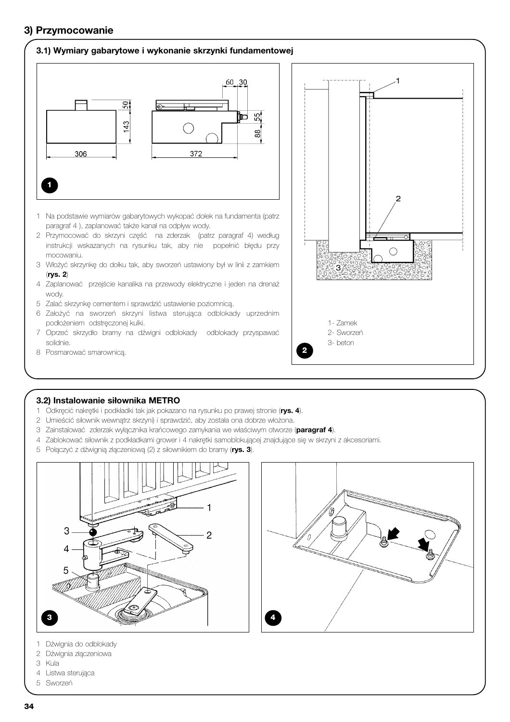## **3) Przymocowanie**

#### **3.1) Wymiary gabarytowe i wykonanie skrzynki fundamentowej**



- Na podstawie wymiarów gabarytowych wykopać dołek na fundamenta (patrz paragraf 4 ), zaplanować także kanał na odpływ wody.
- Przymocować do skrzyni część na zderzak (patrz paragraf 4) według instrukcji wskazanych na rysunku tak, aby nie popełnić błędu przy mocowaniu.
- Włożyć skrzynkę do dołku tak, aby sworzeń ustawiony był w linii z zamkiem (**rys. 2**)
- Zaplanować przejście kanalika na przewody elektryczne i jeden na drenaż wody.
- Zalać skrzynkę cementem i sprawdzić ustawienie poziomnicą.
- Założyć na sworzeń skrzyni listwa sterująca odblokady uprzednim podłożeniem odstręczonej kulki.
- Oprzeć skrzydło bramy na dźwigni odblokady odblokady przyspawać solidnie.
- Posmarować smarownicą.



#### **3.2) Instalowanie siłownika METRO**

- Odkręcić nakrętki i podkładki tak jak pokazano na rysunku po prawej stronie (**rys. 4**).
- Umieścić siłownik wewnątrz skrzyni) i sprawdzić, aby została ona dobrze włożona.
- Zainstalować zderzak wyłącznika krańcowego zamykania we właściwym otworze (**paragraf 4**).
- Zablokować siłownik z podkładkami grower i 4 nakrętki samoblokującej znajdujące się w skrzyni z akcesoriami.
- Połączyć z dźwignią złączeniową (2) z siłownikiem do bramy (**rys. 3**).





- Dźwignia do odblokady
- Dźwignia złączeniowa
- Kula
- Listwa sterująca
- Sworzeń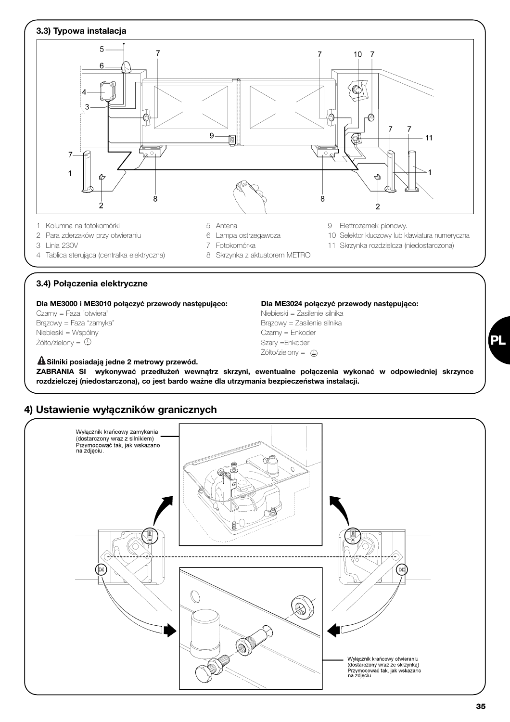

4 Tablica sterująca (centralka elektryczna) 8 Skrzynka z aktuatorem METRO

#### **3.4) Połączenia elektryczne**

**Dla ME3000 i ME3010 połączyć przewody następująco: Dla ME3024 połączyć przewody następująco:**

Niebieski = Wspólny Czarny = Enkoder  $\overline{Z}$ ółto/zielony =  $\oplus$ 

# **Silniki posiadają jedne 2 metrowy przewód. !**

Czarny = Faza "otwiera" eta aliane eta aliane eta alianeko kontrola eta aliantza eta aliarra eta aliarra eta a Brązowy = Faza "zamyka" and antistic structure brazowy = Zasilenie silnika Żółto/zielony =

**ZABRANIA SI wykonywać przedłużeń wewnątrz skrzyni, ewentualne połączenia wykonać w odpowiedniej skrzynce rozdzielczej (niedostarczona), co jest bardo ważne dla utrzymania bezpieczeństwa instalacji.** 



## **4) Ustawienie wyłączników granicznych**

**PL**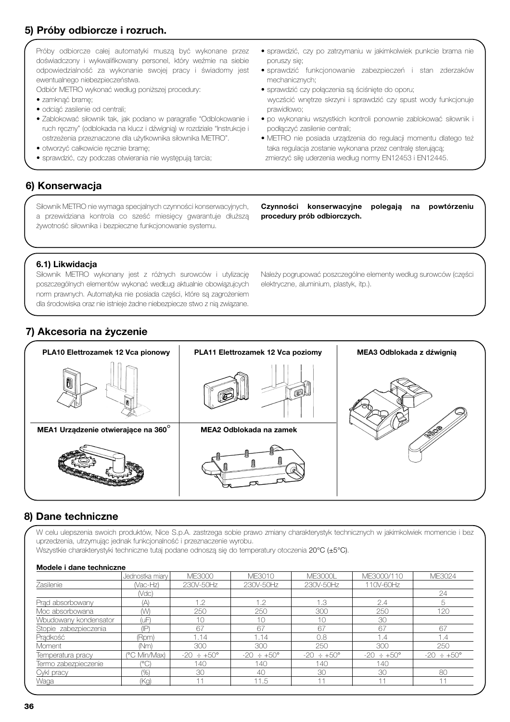## **5) Próby odbiorcze i rozruch.**

Próby odbiorcze całej automatyki muszą być wykonane przez doświadczony i wykwalifikowany personel, który weźmie na siebie odpowiedzialność za wykonanie swojej pracy i świadomy jest ewentualnego niebezpieczeństwa.

Odbiór METRO wykonać według poniższej procedury:

- zamknąć bramę;
- odciąć zasilenie od centrali;
- Zablokować siłownik tak, jak podano w paragrafie "Odblokowanie i ruch ręczny" (odblokada na klucz i dźwignią) w rozdziale "Instrukcje i ostrzeżenia przeznaczone dla użytkownika siłownika METRO".
- otworzyć całkowicie ręcznie bramę;
- sprawdzić, czy podczas otwierania nie występują tarcia;

## **6) Konserwacja**

Siłownik METRO nie wymaga specjalnych czynności konserwacyjnych, a przewidziana kontrola co sześć miesięcy gwarantuje dłuższą żywotność siłownika i bezpieczne funkcjonowanie systemu.

• sprawdzić, czy po zatrzymaniu w jakimkolwiek punkcie brama nie poruszy się;

- sprawdzić funkcjonowanie zabezpieczeń i stan zderzaków mechanicznych;
- sprawdzić czy połączenia są ściśnięte do oporu; wyczścić wnętrze skrzyni i sprawdzić czy spust wody funkcjonuje prawidłowo;
- po wykonaniu wszystkich kontroli ponownie zablokować siłownik i podłączyć zasilenie centrali;
- METRO nie posiada urządzenia do regulacji momentu dlatego też taka regulacja zostanie wykonana przez centralę sterującą; zmierzyć siłę uderzenia według normy EN12453 i EN12445.

**Czynności konserwacyjne polegają na powtórzeniu procedury prób odbiorczych.**

#### **6.1) Likwidacja**

Siłownik METRO wykonany jest z różnych surowców i utylizację poszczególnych elementów wykonać wedŁug aktualnie obowiązujcych norm prawnych. Automatyka nie posiada części, które są zagrożeniem dla środowiska oraz nie istnieje żadne niebezpiecze stwo z nią związane.

Należy pogrupować poszczególne elementy według surowców (części elektryczne, aluminium, plastyk, itp.).

## **7) Akcesoria na życzenie**



## **8) Dane techniczne**

W celu ulepszenia swoich produktów, Nice S.p.A. zastrzega sobie prawo zmiany charakterystyk technicznych w jakimkolwiek momencie i bez uprzedzenia, utrzymując jednak funkcjonalność i przeznaczenie wyrobu.

Wszystkie charakterystyki techniczne tutaj podane odnoszą się do temperatury otoczenia 20°C (±5°C).

#### **Modele i dane techniczne**

|                       | Jednostka miary | ME3000                | ME3010                 | <b>ME3000L</b>         | ME3000/110             | ME3024                 |
|-----------------------|-----------------|-----------------------|------------------------|------------------------|------------------------|------------------------|
| Zasilenie             | (Vac-Hz)        | 230V-50Hz             | 230V-50Hz              | 230V-50Hz              | 110V-60Hz              |                        |
|                       | (Vdc)           |                       |                        |                        |                        | 24                     |
| Prad absorbowany      | (A)             | 1.2                   | 1.2                    | 1.3                    | 2.4                    | 5                      |
| Moc absorbowana       | (W)             | 250                   | 250                    | 300                    | 250                    | 120                    |
| Wbudowany kondensator | ίuΕ.            | 10                    | 10                     | 10                     | 30                     |                        |
| Stopie zabezpieczenia | (IP)            | 67                    | 67                     | 67                     | 67                     | 67                     |
| Pradkość              | (Rpm)           | 1.14                  | 1.14                   | 0.8                    | 1,4                    | 1.4                    |
| Moment                | (Nm)            | 300                   | 300                    | 250                    | 300                    | 250                    |
| Temperatura pracy     | (°C Min/Max)    | $-20 \div 50^{\circ}$ | $-20 \div +50^{\circ}$ | $-20 \div +50^{\circ}$ | $-20 \div +50^{\circ}$ | $-20 \div +50^{\circ}$ |
| Termo zabezpieczenie  | $(^{\circ}C)$   | 140                   | 140                    | 140                    | 140                    |                        |
| Cykl pracy            | (% )            | 30                    | 40                     | 30                     | 30                     | 80                     |
| Waga                  | (Kq)            | 11                    | 11.5                   | 11                     | 11                     | 11                     |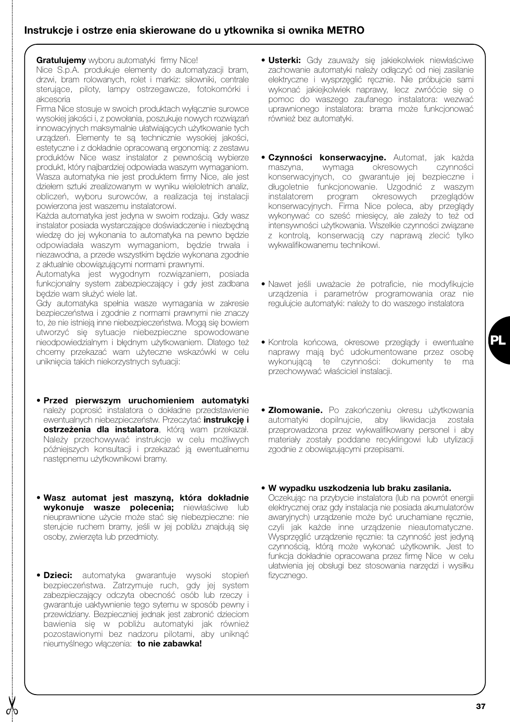## **Instrukcje i ostrze enia skierowane do u ytkownika si ownika METRO**

**Gratuluiemy** wyboru automatyki firmy Nice! Nice S.p.A. produkuje elementy do automatyzacji bram, drzwi, bram rolowanych, rolet i markiz: siłowniki, centrale sterujące, piloty, lampy ostrzegawcze, fotokomórki i akcesoria

Firma Nice stosuje w swoich produktach wyłącznie surowce wysokiej jakości i, z powołania, poszukuje nowych rozwiązań innowacyjnych maksymalnie ułatwiających użytkowanie tych urządzeń. Elementy te są technicznie wysokiej jakości, estetyczne i z dokładnie opracowaną ergonomią: z zestawu produktów Nice wasz instalator z pewnością wybierze produkt, który najbardziej odpowiada waszym wymaganiom. Wasza automatyka nie jest produktem firmy Nice, ale jest dziełem sztuki zrealizowanym w wyniku wieloletnich analiz, obliczeń, wyboru surowców, a realizacja tej instalacji powierzona jest waszemu instalatorowi.

Każda automatyka jest jedyna w swoim rodzaju. Gdy wasz instalator posiada wystarczające doświadczenie i niezbędną wiedzę do jej wykonania to automatyka na pewno będzie odpowiadała waszym wymaganiom, będzie trwała i niezawodna, a przede wszystkim będzie wykonana zgodnie z aktualnie obowiązującymi normami prawnymi.

Automatyka jest wygodnym rozwiązaniem, posiada funkcjonalny system zabezpieczający i gdy jest zadbana będzie wam służyć wiele lat.

Gdy automatyka spełnia wasze wymagania w zakresie bezpieczeństwa i zgodnie z normami prawnymi nie znaczy to, że nie istnieją inne niebezpieczeństwa. Mogą się bowiem utworzyć się sytuacje niebezpieczne spowodowane nieodpowiedzialnym i błędnym użytkowaniem. Dlatego też chcemy przekazać wam użyteczne wskazówki w celu uniknięcia takich niekorzystnych sytuacji:

- **Przed pierwszym uruchomieniem automatyki** należy poprosić instalatora o dokładne przedstawienie ewentualnych niebezpieczeństw. Przeczytać **instrukcję i ostrzeżenia dla instalatora**, którą wam przekazał. Należy przechowywać instrukcje w celu możliwych późniejszych konsultacji i przekazać ją ewentualnemu następnemu użytkownikowi bramy.
- **Wasz automat jest maszyną, która dokładnie wykonuje wasze polecenia;** niewłaściwe lub nieuprawnione użycie może stać się niebezpieczne: nie sterujcie ruchem bramy, jeśli w jej pobliżu znajdują się osoby, zwierzęta lub przedmioty.
- **Dzieci:** automatyka gwarantuje wysoki stopień bezpieczeństwa. Zatrzymuje ruch, gdy jej system zabezpieczający odczyta obecność osób lub rzeczy i gwarantuje uaktywnienie tego sytemu w sposób pewny i przewidziany. Bezpieczniej jednak jest zabronić dzieciom bawienia się w pobliżu automatyki jak również pozostawionymi bez nadzoru pilotami, aby uniknąć nieumyślnego włączenia: **to nie zabawka!**

d,p

- **Usterki:** Gdy zauważy się jakiekolwiek niewłaściwe zachowanie automatyki należy odłączyć od niej zasilanie elektryczne i wysprzęglić ręcznie. Nie próbujcie sami wykonać jakiejkolwiek naprawy, lecz zwróćcie się o pomoc do waszego zaufanego instalatora: wezwać uprawnionego instalatora: brama może funkcjonować również bez automatyki.
- **Czynności konserwacyjne.** Automat, jak każda maszyna, wymaga okresowych czynności konserwacyjnych, co gwarantuje jej bezpieczne i długoletnie funkcjonowanie. Uzgodnić z waszym instalatorem program okresowych przeglądów konserwacyjnych. Firma Nice poleca, aby przeglądy wykonywać co sześć miesięcy, ale zależy to też od intensywności użytkowania. Wszelkie czynności związane z kontrolą, konserwacją czy naprawą zlecić tylko wykwalifikowanemu technikowi.
- Nawet jeśli uważacie że potraficie, nie modyfikujcie urządzenia i parametrów programowania oraz nie regulujcie automatyki: należy to do waszego instalatora
- Kontrola końcowa, okresowe przeglądy i ewentualne naprawy mają być udokumentowane przez osobę wykonującą te czynności: dokumenty te ma przechowywać właściciel instalacji.
- **Złomowanie.** Po zakończeniu okresu użytkowania automatyki dopilnujcie, aby likwidacja została przeprowadzona przez wykwalifikowany personel i aby materiały zostały poddane recyklingowi lub utylizacji zgodnie z obowiązującymi przepisami.
- **W wypadku uszkodzenia lub braku zasilania.**

Oczekując na przybycie instalatora (lub na powrót energii elektrycznej oraz gdy instalacja nie posiada akumulatorów awaryjnych) urządzenie może być uruchamiane ręcznie, czyli jak każde inne urządzenie nieautomatyczne. Wysprzęglić urządzenie ręcznie: ta czynność jest jedyną czynnością, którą może wykonać użytkownik. Jest to funkcja dokładnie opracowana przez firmę Nice w celu ułatwienia jej obsługi bez stosowania narzędzi i wysiłku fizycznego.

**PL**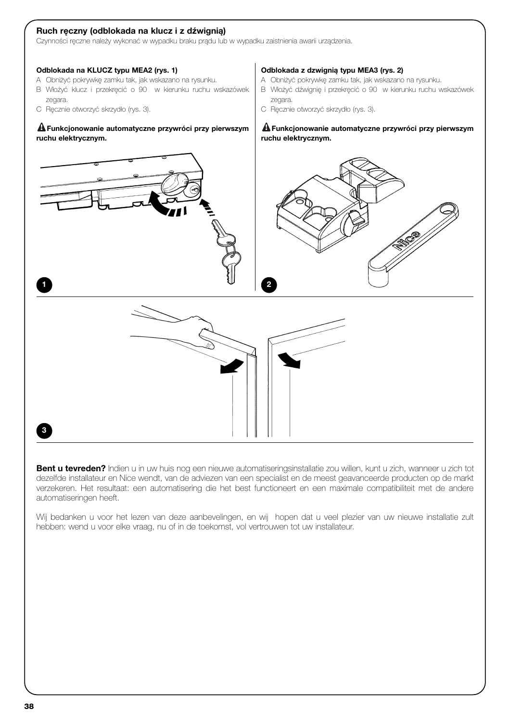#### **Ruch ręczny (odblokada na klucz i z dźwignią)**

Czynności ręczne należy wykonać w wypadku braku prądu lub w wypadku zaistnienia awarii urządzenia.

#### **Odblokada na KLUCZ typu MEA2 (rys. 1)**

- A Obniżyć pokrywkę zamku tak, jak wskazano na rysunku.
- B Włożyć klucz i przekręcić o 90 w kierunku ruchu wskazówek zegara.
- C Ręcznie otworzyć skrzydło (rys. 3).

#### **Funkcjonowanie automatyczne przywróci przy pierwszym ! ruchu elektrycznym.**

#### **Odblokada z dzwignią typu MEA3 (rys. 2)**

- A Obniżyć pokrywkę zamku tak, jak wskazano na rysunku.
- B Włożyć dźwignię i przekręcić o 90 w kierunku ruchu wskazówek zegara.
- C Ręcznie otworzyć skrzydło (rys. 3).

#### **Funkcjonowanie automatyczne przywróci przy pierwszym ! ruchu elektrycznym.**



**Bent u tevreden?** Indien u in uw huis nog een nieuwe automatiseringsinstallatie zou willen, kunt u zich, wanneer u zich tot dezelfde installateur en Nice wendt, van de adviezen van een specialist en de meest geavanceerde producten op de markt verzekeren. Het resultaat: een automatisering die het best functioneert en een maximale compatibiliteit met de andere automatiseringen heeft.

Wij bedanken u voor het lezen van deze aanbevelingen, en wij hopen dat u veel plezier van uw nieuwe installatie zult hebben: wend u voor elke vraag, nu of in de toekomst, vol vertrouwen tot uw installateur.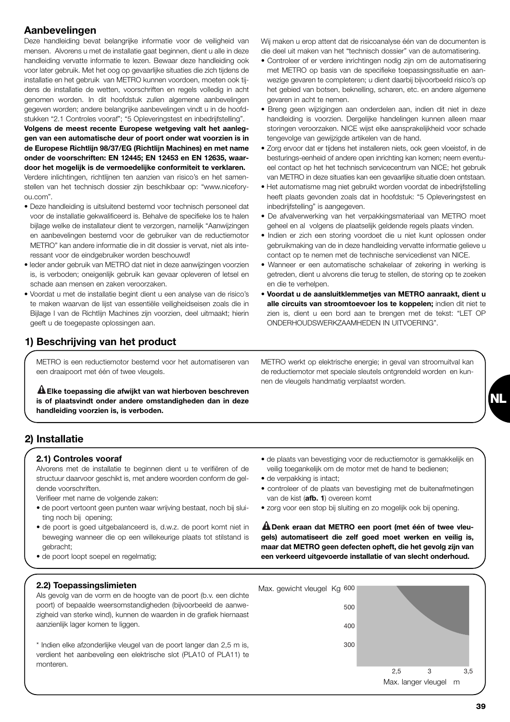## **Aanbevelingen**

Deze handleiding bevat belangrijke informatie voor de veiligheid van mensen. Alvorens u met de installatie gaat beginnen, dient u alle in deze handleiding vervatte informatie te lezen. Bewaar deze handleiding ook voor later gebruik. Met het oog op gevaarlijke situaties die zich tijdens de installatie en het gebruik van METRO kunnen voordoen, moeten ook tijdens de installatie de wetten, voorschriften en regels volledig in acht genomen worden. In dit hoofdstuk zullen algemene aanbevelingen gegeven worden; andere belangrijke aanbevelingen vindt u in de hoofdstukken "2.1 Controles vooraf"; "5 Opleveringstest en inbedrijfstelling".

**Volgens de meest recente Europese wetgeving valt het aanleggen van een automatische deur of poort onder wat voorzien is in de Europese Richtlijn 98/37/EG (Richtlijn Machines) en met name onder de voorschriften: EN 12445; EN 12453 en EN 12635, waardoor het mogelijk is de vermoedelijke conformiteit te verklaren.** Verdere inlichtingen, richtlijnen ten aanzien van risico's en het samenstellen van het technisch dossier zijn beschikbaar op: "www.niceforyou.com".

- Deze handleiding is uitsluitend bestemd voor technisch personeel dat voor de installatie gekwalificeerd is. Behalve de specifieke los te halen bijlage welke de installateur dient te verzorgen, namelijk "Aanwijzingen en aanbevelingen bestemd voor de gebruiker van de reductiemotor METRO" kan andere informatie die in dit dossier is vervat, niet als interessant voor de eindgebruiker worden beschouwd!
- Ieder ander gebruik van METRO dat niet in deze aanwijzingen voorzien is, is verboden; oneigenlijk gebruik kan gevaar opleveren of letsel en schade aan mensen en zaken veroorzaken.
- Voordat u met de installatie begint dient u een analyse van de risico's te maken waarvan de lijst van essentiële veiligheidseisen zoals die in Bijlage I van de Richtlijn Machines zijn voorzien, deel uitmaakt; hierin geeft u de toegepaste oplossingen aan.

## **1) Beschrijving van het product**

METRO is een reductiemotor bestemd voor het automatiseren van een draaipoort met één of twee vleugels.

**Elke toepassing die afwijkt van wat hierboven beschreven ! is of plaatsvindt onder andere omstandigheden dan in deze handleiding voorzien is, is verboden.**

Wij maken u erop attent dat de risicoanalyse één van de documenten is die deel uit maken van het "technisch dossier" van de automatisering.

- Controleer of er verdere inrichtingen nodig zijn om de automatisering met METRO op basis van de specifieke toepassingssituatie en aanwezige gevaren te completeren; u dient daarbij bijvoorbeeld risico's op het gebied van botsen, beknelling, scharen, etc. en andere algemene gevaren in acht te nemen.
- Breng geen wijzigingen aan onderdelen aan, indien dit niet in deze handleiding is voorzien. Dergelijke handelingen kunnen alleen maar storingen veroorzaken. NICE wijst elke aansprakelijkheid voor schade tengevolge van gewijzigde artikelen van de hand.
- Zorg ervoor dat er tijdens het installeren niets, ook geen vloeistof, in de besturings-eenheid of andere open inrichting kan komen; neem eventueel contact op het het technisch servicecentrum van NICE; het gebruik van METRO in deze situaties kan een gevaarlijke situatie doen ontstaan.
- Het automatisme mag niet gebruikt worden voordat de inbedrijfstelling heeft plaats gevonden zoals dat in hoofdstuk: "5 Opleveringstest en inbedrijfstelling" is aangegeven.
- De afvalverwerking van het verpakkingsmateriaal van METRO moet geheel en al volgens de plaatselijk geldende regels plaats vinden.
- Indien er zich een storing voordoet die u niet kunt oplossen onder gebruikmaking van de in deze handleiding vervatte informatie gelieve u contact op te nemen met de technische servicedienst van NICE.
- Wanneer er een automatische schakelaar of zekering in werking is getreden, dient u alvorens die terug te stellen, de storing op te zoeken en die te verhelpen.
- **Voordat u de aansluitklemmetjes van METRO aanraakt, dient u alle circuits van stroomtoevoer los te koppelen;** indien dit niet te zien is, dient u een bord aan te brengen met de tekst: "LET OP ONDERHOUDSWERKZAAMHEDEN IN UITVOERING".

METRO werkt op elektrische energie; in geval van stroomuitval kan de reductiemotor met speciale sleutels ontgrendeld worden en kunnen de vleugels handmatig verplaatst worden.



## **2) Installatie**

#### **2.1) Controles vooraf**

Alvorens met de installatie te beginnen dient u te verifiëren of de structuur daarvoor geschikt is, met andere woorden conform de geldende voorschriften.

Verifieer met name de volgende zaken:

- de poort vertoont geen punten waar wrijving bestaat, noch bij sluiting noch bij opening;
- de poort is goed uitgebalanceerd is, d.w.z. de poort komt niet in beweging wanneer die op een willekeurige plaats tot stilstand is gebracht;
- de poort loopt soepel en regelmatig;

#### **2.2) Toepassingslimieten**

Als gevolg van de vorm en de hoogte van de poort (b.v. een dichte poort) of bepaalde weersomstandigheden (bijvoorbeeld de aanwezigheid van sterke wind), kunnen de waarden in de grafiek hiernaast aanzienlijk lager komen te liggen.

\* Indien elke afzonderlijke vleugel van de poort langer dan 2,5 m is, verdient het aanbeveling een elektrische slot (PLA10 of PLA11) te monteren.

- de plaats van bevestiging voor de reductiemotor is gemakkelijk en veilig toegankelijk om de motor met de hand te bedienen;
- de verpakking is intact;
- controleer of de plaats van bevestiging met de buitenafmetingen van de kist (**afb. 1**) overeen komt
- zorg voor een stop bij sluiting en zo mogelijk ook bij opening.

**Denk eraan dat METRO een poort (met één of twee vleu-! gels) automatiseert die zelf goed moet werken en veilig is, maar dat METRO geen defecten opheft, die het gevolg zijn van een verkeerd uitgevoerde installatie of van slecht onderhoud.**

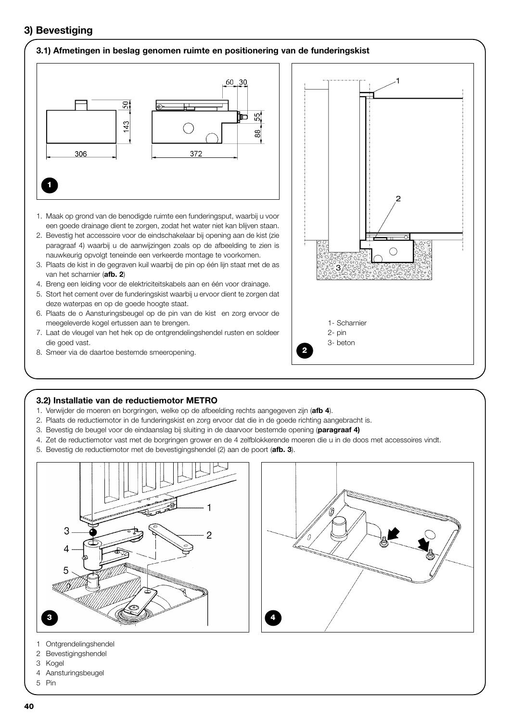## **3) Bevestiging**

#### **3.1) Afmetingen in beslag genomen ruimte en positionering van de funderingskist**



- 1. Maak op grond van de benodigde ruimte een funderingsput, waarbij u voor een goede drainage dient te zorgen, zodat het water niet kan blijven staan.
- 2. Bevestig het accessoire voor de eindschakelaar bij opening aan de kist (zie paragraaf 4) waarbij u de aanwijzingen zoals op de afbeelding te zien is nauwkeurig opvolgt teneinde een verkeerde montage te voorkomen.
- 3. Plaats de kist in de gegraven kuil waarbij de pin op één lijn staat met de as van het scharnier (**afb. 2**)
- 4. Breng een leiding voor de elektriciteitskabels aan en één voor drainage.
- 5. Stort het cement over de funderingskist waarbij u ervoor dient te zorgen dat deze waterpas en op de goede hoogte staat.
- 6. Plaats de o Aansturingsbeugel op de pin van de kist en zorg ervoor de meegeleverde kogel ertussen aan te brengen.
- 7. Laat de vleugel van het hek op de ontgrendelingshendel rusten en soldeer die goed vast.
- 8. Smeer via de daartoe bestemde smeeropening.



#### **3.2) Installatie van de reductiemotor METRO**

- 1. Verwijder de moeren en borgringen, welke op de afbeelding rechts aangegeven zijn (**afb 4**).
- 2. Plaats de reductiemotor in de funderingskist en zorg ervoor dat die in de goede richting aangebracht is.
- 3. Bevestig de beugel voor de eindaanslag bij sluiting in de daarvoor bestemde opening (**paragraaf 4)**
- 4. Zet de reductiemotor vast met de borgringen grower en de 4 zelfblokkerende moeren die u in de doos met accessoires vindt.
- 5. Bevestig de reductiemotor met de bevestigingshendel (2) aan de poort (**afb. 3**).





- 1 Ontgrendelingshendel
- 2 Bevestigingshendel
- 3 Kogel
- 4 Aansturingsbeugel
- 5 Pin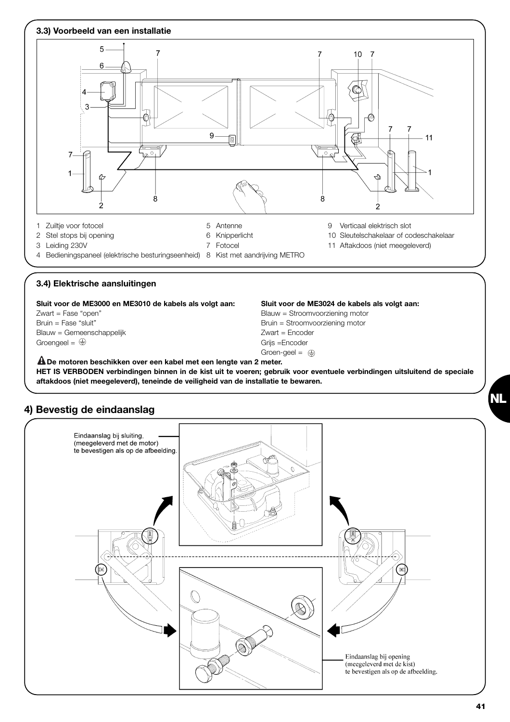

**De motoren beschikken over een kabel met een lengte van 2 meter. ! HET IS VERBODEN verbindingen binnen in de kist uit te voeren; gebruik voor eventuele verbindingen uitsluitend de speciale aftakdoos (niet meegeleverd), teneinde de veiligheid van de installatie te bewaren.**

## **4) Bevestig de eindaanslag**



**NL**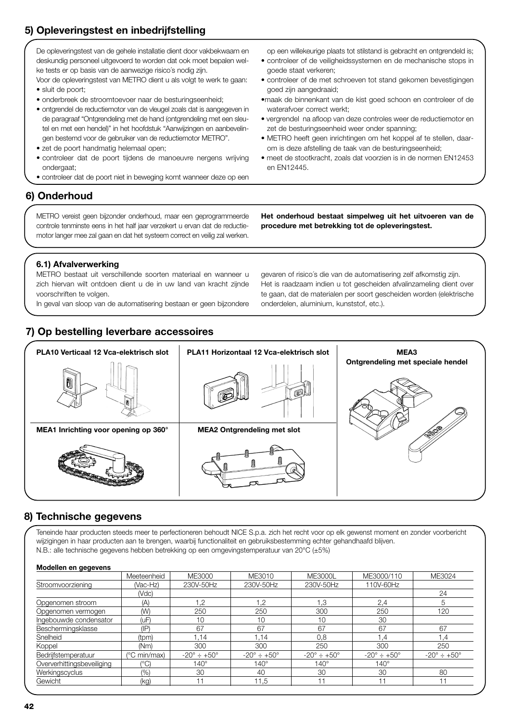# **5) Opleveringstest en inbedrijfstelling**

De opleveringstest van de gehele installatie dient door vakbekwaam en deskundig personeel uitgevoerd te worden dat ook moet bepalen welke tests er op basis van de aanwezige risico´s nodig zijn.

Voor de opleveringstest van METRO dient u als volgt te werk te gaan: • sluit de poort;

- onderbreek de stroomtoevoer naar de besturingseenheid;
- ontgrendel de reductiemotor van de vleugel zoals dat is aangegeven in de paragraaf "Ontgrendeling met de hand (ontgrendeling met een sleutel en met een hendel)" in het hoofdstuk "Aanwijzingen en aanbevelingen bestemd voor de gebruiker van de reductiemotor METRO".
- zet de poort handmatig helemaal open;
- controleer dat de poort tijdens de manoeuvre nergens wrijving ondergaat;
- controleer dat de poort niet in beweging komt wanneer deze op een

## **6) Onderhoud**

METRO vereist geen bijzonder onderhoud, maar een geprogrammeerde controle tenminste eens in het half jaar verzekert u ervan dat de reductiemotor langer mee zal gaan en dat het systeem correct en veilig zal werken. op een willekeurige plaats tot stilstand is gebracht en ontgrendeld is;

- controleer of de veiligheidssystemen en de mechanische stops in goede staat verkeren;
- controleer of de met schroeven tot stand gekomen bevestigingen goed zijn aangedraaid;
- •maak de binnenkant van de kist goed schoon en controleer of de waterafvoer correct werkt;
- vergrendel na afloop van deze controles weer de reductiemotor en zet de besturingseenheid weer onder spanning;
- METRO heeft geen inrichtingen om het koppel af te stellen, daarom is deze afstelling de taak van de besturingseenheid;
- meet de stootkracht, zoals dat voorzien is in de normen EN12453 en EN12445.

# **6.1) Afvalverwerking**

METRO bestaat uit verschillende soorten materiaal en wanneer u zich hiervan wilt ontdoen dient u de in uw land van kracht zijnde voorschriften te volgen.

In geval van sloop van de automatisering bestaan er geen bijzondere

## **7) Op bestelling leverbare accessoires**

**procedure met betrekking tot de opleveringstest.**

**Het onderhoud bestaat simpelweg uit het uitvoeren van de**

gevaren of risico´s die van de automatisering zelf afkomstig zijn. Het is raadzaam indien u tot gescheiden afvalinzameling dient over te gaan, dat de materialen per soort gescheiden worden (elektrische onderdelen, aluminium, kunststof, etc.).



## **8) Technische gegevens**

Teneinde haar producten steeds meer te perfectioneren behoudt NICE S.p.a. zich het recht voor op elk gewenst moment en zonder voorbericht wijzigingen in haar producten aan te brengen, waarbij functionaliteit en gebruiksbestemming echter gehandhaafd blijven. N.B.: alle technische gegevens hebben betrekking op een omgevingstemperatuur van 20°C (±5%)

| Modellen en gegevens |
|----------------------|
|----------------------|

| <b>MOUUMON ON SUSPEND</b>  |                 |                                |                                |                                |                                |                                |
|----------------------------|-----------------|--------------------------------|--------------------------------|--------------------------------|--------------------------------|--------------------------------|
|                            | Meeteenheid     | ME3000                         | ME3010                         | <b>ME3000L</b>                 | ME3000/110                     | ME3024                         |
| Stroomvoorziening          | (Vac-Hz)        | 230V-50Hz                      | 230V-50Hz                      | 230V-50Hz                      | 110V-60Hz                      |                                |
|                            | (Vdc)           |                                |                                |                                |                                | 24                             |
| Opgenomen stroom           | (A)             | 1,2                            | 1,2                            | 1.3                            | 2,4                            |                                |
| Opgenomen vermogen         | (W)             | 250                            | 250                            | 300                            | 250                            | 120                            |
| Ingebouwde condensator     | (uF)            | 10                             | 10                             | 10                             | 30                             |                                |
| Beschermingsklasse         | $(\mathsf{IP})$ | 67                             | 67                             | 67                             | 67                             | 67                             |
| Snelheid                   | (tpm)           | 1.14                           | .14                            | 0,8                            | 1.4                            | 4.١                            |
| Koppel                     | (Nm)            | 300                            | 300                            | 250                            | 300                            | 250                            |
| Bedrijfstemperatuur        | (°C min/max)    | $-20^{\circ} \div 150^{\circ}$ | $-20^{\circ} \div +50^{\circ}$ | $-20^{\circ} \div +50^{\circ}$ | $-20^{\circ} \div +50^{\circ}$ | $-20^{\circ} \div 150^{\circ}$ |
| Oververhittingsbeveiliging | $(^{\circ}C)$   | $140^\circ$                    | $140^\circ$                    | $140^\circ$                    | $140^\circ$                    |                                |
| Werkingscyclus             | $(\%)$          | 30                             | 40                             | 30                             | 30                             | 80                             |
| Gewicht                    | (kq)            | 11                             | 11.5                           | 11                             |                                | 11                             |
|                            |                 |                                |                                |                                |                                |                                |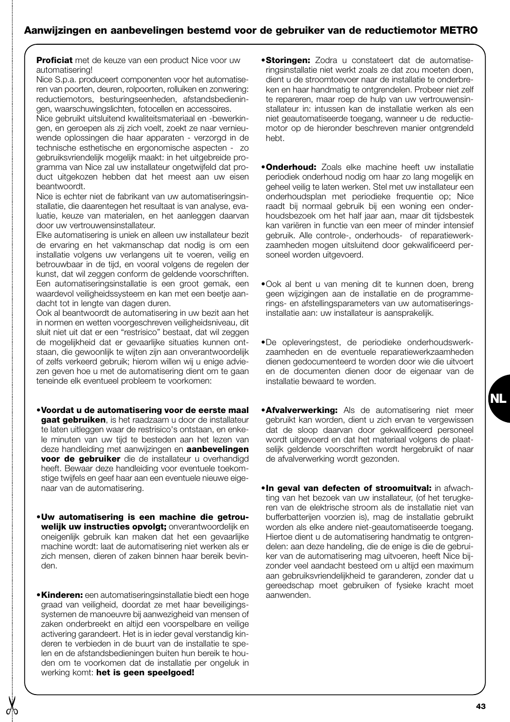## **Aanwijzingen en aanbevelingen bestemd voor de gebruiker van de reductiemotor METRO**

**Proficiat** met de keuze van een product Nice voor uw automatisering!

Nice S.p.a. produceert componenten voor het automatiseren van poorten, deuren, rolpoorten, rolluiken en zonwering: reductiemotors, besturingseenheden, afstandsbedieningen, waarschuwingslichten, fotocellen en accessoires.

Nice gebruikt uitsluitend kwaliteitsmateriaal en -bewerkingen, en geroepen als zij zich voelt, zoekt ze naar vernieuwende oplossingen die haar apparaten - verzorgd in de technische esthetische en ergonomische aspecten - zo gebruiksvriendelijk mogelijk maakt: in het uitgebreide programma van Nice zal uw installateur ongetwijfeld dat product uitgekozen hebben dat het meest aan uw eisen beantwoordt.

Nice is echter niet de fabrikant van uw automatiseringsinstallatie, die daarentegen het resultaat is van analyse, evaluatie, keuze van materialen, en het aanleggen daarvan door uw vertrouwensinstallateur.

Elke automatisering is uniek en alleen uw installateur bezit de ervaring en het vakmanschap dat nodig is om een installatie volgens uw verlangens uit te voeren, veilig en betrouwbaar in de tijd, en vooral volgens de regelen der kunst, dat wil zeggen conform de geldende voorschriften. Een automatiseringsinstallatie is een groot gemak, een waardevol veiligheidssysteem en kan met een beetje aandacht tot in lengte van dagen duren.

Ook al beantwoordt de automatisering in uw bezit aan het in normen en wetten voorgeschreven veiligheidsniveau, dit sluit niet uit dat er een "restrisico" bestaat, dat wil zeggen de mogelijkheid dat er gevaarlijke situaties kunnen ontstaan, die gewoonlijk te wijten zijn aan onverantwoordelijk of zelfs verkeerd gebruik; hierom willen wij u enige adviezen geven hoe u met de automatisering dient om te gaan teneinde elk eventueel probleem te voorkomen:

- •**Voordat u de automatisering voor de eerste maal gaat gebruiken**, is het raadzaam u door de installateur te laten uitleggen waar de restrisico's ontstaan, en enkele minuten van uw tijd te besteden aan het lezen van deze handleiding met aanwijzingen en **aanbevelingen voor de gebruiker** die de installateur u overhandigd heeft. Bewaar deze handleiding voor eventuele toekomstige twijfels en geef haar aan een eventuele nieuwe eigenaar van de automatisering.
- •**Uw automatisering is een machine die getrouwelijk uw instructies opvolgt;** onverantwoordelijk en oneigenlijk gebruik kan maken dat het een gevaarlijke machine wordt: laat de automatisering niet werken als er zich mensen, dieren of zaken binnen haar bereik bevinden.
- •**Kinderen:** een automatiseringsinstallatie biedt een hoge graad van veiligheid, doordat ze met haar beveiligingssystemen de manoeuvre bij aanwezigheid van mensen of zaken onderbreekt en altijd een voorspelbare en veilige activering garandeert. Het is in ieder geval verstandig kinderen te verbieden in de buurt van de installatie te spelen en de afstandsbedieningen buiten hun bereik te houden om te voorkomen dat de installatie per ongeluk in werking komt: **het is geen speelgoed!**
- •**Storingen:** Zodra u constateert dat de automatiseringsinstallatie niet werkt zoals ze dat zou moeten doen, dient u de stroomtoevoer naar de installatie te onderbreken en haar handmatig te ontgrendelen. Probeer niet zelf te repareren, maar roep de hulp van uw vertrouwensinstallateur in: intussen kan de installatie werken als een niet geautomatiseerde toegang, wanneer u de reductiemotor op de hieronder beschreven manier ontgrendeld hebt.
- •**Onderhoud:** Zoals elke machine heeft uw installatie periodiek onderhoud nodig om haar zo lang mogelijk en geheel veilig te laten werken. Stel met uw installateur een onderhoudsplan met periodieke frequentie op; Nice raadt bij normaal gebruik bij een woning een onderhoudsbezoek om het half jaar aan, maar dit tijdsbestek kan variëren in functie van een meer of minder intensief gebruik. Alle controle-, onderhouds- of reparatiewerkzaamheden mogen uitsluitend door gekwalificeerd personeel worden uitgevoerd.
- •Ook al bent u van mening dit te kunnen doen, breng geen wijzigingen aan de installatie en de programmerings- en afstellingsparameters van uw automatiseringsinstallatie aan: uw installateur is aansprakelijk.
- •De opleveringstest, de periodieke onderhoudswerkzaamheden en de eventuele reparatiewerkzaamheden dienen gedocumenteerd te worden door wie die uitvoert en de documenten dienen door de eigenaar van de installatie bewaard te worden.
- **Afvalverwerking:** Als de automatisering niet meer gebruikt kan worden, dient u zich ervan te vergewissen dat de sloop daarvan door gekwalificeerd personeel wordt uitgevoerd en dat het materiaal volgens de plaatselijk geldende voorschriften wordt hergebruikt of naar de afvalverwerking wordt gezonden.
- •**In geval van defecten of stroomuitval:** in afwachting van het bezoek van uw installateur, (of het terugkeren van de elektrische stroom als de installatie niet van bufferbatterijen voorzien is), mag de installatie gebruikt worden als elke andere niet-geautomatiseerde toegang. Hiertoe dient u de automatisering handmatig te ontgrendelen: aan deze handeling, die de enige is die de gebruiker van de automatisering mag uitvoeren, heeft Nice bijzonder veel aandacht besteed om u altijd een maximum aan gebruiksvriendelijkheid te garanderen, zonder dat u gereedschap moet gebruiken of fysieke kracht moet aanwenden.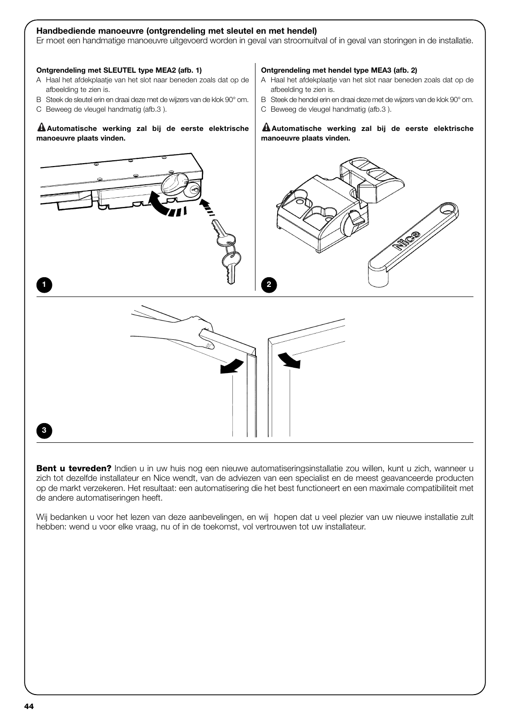#### **Handbediende manoeuvre (ontgrendeling met sleutel en met hendel)**

Er moet een handmatige manoeuvre uitgevoerd worden in geval van stroomuitval of in geval van storingen in de installatie.

#### **Ontgrendeling met SLEUTEL type MEA2 (afb. 1)**

- A Haal het afdekplaatje van het slot naar beneden zoals dat op de afbeelding te zien is.
- B Steek de sleutel erin en draai deze met de wijzers van de klok 90° om.
- C Beweeg de vleugel handmatig (afb.3 ).

#### **Automatische werking zal bij de eerste elektrische ! manoeuvre plaats vinden.**

#### **Ontgrendeling met hendel type MEA3 (afb. 2)**

- A Haal het afdekplaatje van het slot naar beneden zoals dat op de afbeelding te zien is.
- B Steek de hendel erin en draai deze met de wijzers van de klok 90° om.
- C Beweeg de vleugel handmatig (afb.3 ).

#### **Automatische werking zal bij de eerste elektrische ! manoeuvre plaats vinden.**



**Bent u tevreden?** Indien u in uw huis nog een nieuwe automatiseringsinstallatie zou willen, kunt u zich, wanneer u zich tot dezelfde installateur en Nice wendt, van de adviezen van een specialist en de meest geavanceerde producten op de markt verzekeren. Het resultaat: een automatisering die het best functioneert en een maximale compatibiliteit met de andere automatiseringen heeft.

Wij bedanken u voor het lezen van deze aanbevelingen, en wij hopen dat u veel plezier van uw nieuwe installatie zult hebben: wend u voor elke vraag, nu of in de toekomst, vol vertrouwen tot uw installateur.